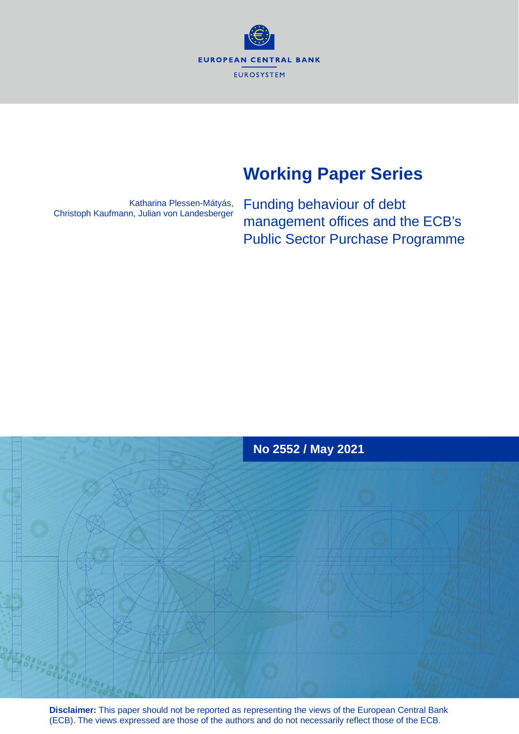**EUROPEAN CENTRAL BANK EUROSYSTEM** 

# **Working Paper Series**

Katharina Plessen-Mátyás, Christoph Kaufmann, Julian von Landesberger

Funding behaviour of debt management offices and the ECB's Public Sector Purchase Programme



**Disclaimer:** This paper should not be reported as representing the views of the European Central Bank (ECB). The views expressed are those of the authors and do not necessarily reflect those of the ECB.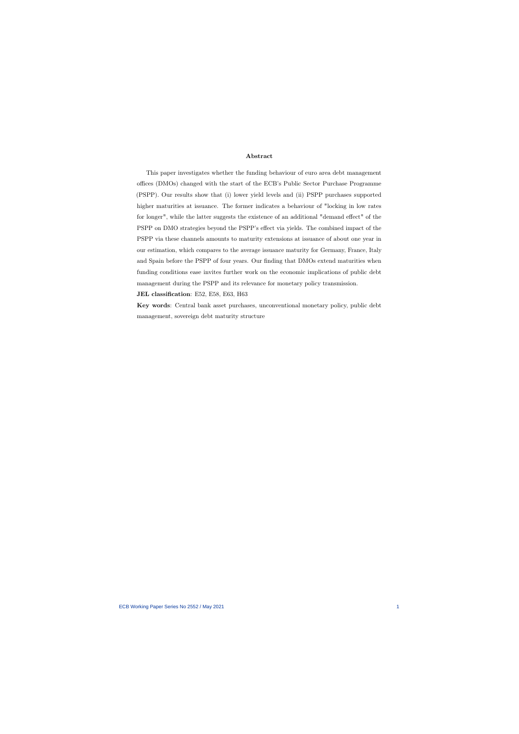#### Abstract

This paper investigates whether the funding behaviour of euro area debt management offices (DMOs) changed with the start of the ECB's Public Sector Purchase Programme (PSPP). Our results show that (i) lower yield levels and (ii) PSPP purchases supported higher maturities at issuance. The former indicates a behaviour of "locking in low rates for longer", while the latter suggests the existence of an additional "demand effect" of the PSPP on DMO strategies beyond the PSPP's effect via yields. The combined impact of the PSPP via these channels amounts to maturity extensions at issuance of about one year in our estimation, which compares to the average issuance maturity for Germany, France, Italy and Spain before the PSPP of four years. Our finding that DMOs extend maturities when funding conditions ease invites further work on the economic implications of public debt management during the PSPP and its relevance for monetary policy transmission.

JEL classification: E52, E58, E63, H63

Key words: Central bank asset purchases, unconventional monetary policy, public debt management, sovereign debt maturity structure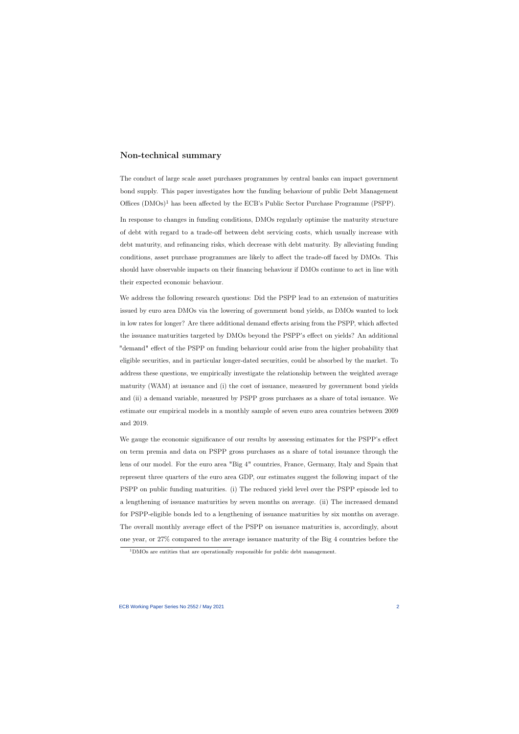### Non-technical summary

The conduct of large scale asset purchases programmes by central banks can impact government bond supply. This paper investigates how the funding behaviour of public Debt Management Offices  $(DMOs)^1$  has been affected by the ECB's Public Sector Purchase Programme (PSPP).

In response to changes in funding conditions, DMOs regularly optimise the maturity structure of debt with regard to a trade-off between debt servicing costs, which usually increase with debt maturity, and refinancing risks, which decrease with debt maturity. By alleviating funding conditions, asset purchase programmes are likely to affect the trade-off faced by DMOs. This should have observable impacts on their financing behaviour if DMOs continue to act in line with their expected economic behaviour.

We address the following research questions: Did the PSPP lead to an extension of maturities issued by euro area DMOs via the lowering of government bond yields, as DMOs wanted to lock in low rates for longer? Are there additional demand effects arising from the PSPP, which affected the issuance maturities targeted by DMOs beyond the PSPP's effect on yields? An additional "demand" effect of the PSPP on funding behaviour could arise from the higher probability that eligible securities, and in particular longer-dated securities, could be absorbed by the market. To address these questions, we empirically investigate the relationship between the weighted average maturity (WAM) at issuance and (i) the cost of issuance, measured by government bond yields and (ii) a demand variable, measured by PSPP gross purchases as a share of total issuance. We estimate our empirical models in a monthly sample of seven euro area countries between 2009 and 2019.

We gauge the economic significance of our results by assessing estimates for the PSPP's effect on term premia and data on PSPP gross purchases as a share of total issuance through the lens of our model. For the euro area "Big 4" countries, France, Germany, Italy and Spain that represent three quarters of the euro area GDP, our estimates suggest the following impact of the PSPP on public funding maturities. (i) The reduced yield level over the PSPP episode led to a lengthening of issuance maturities by seven months on average. (ii) The increased demand for PSPP-eligible bonds led to a lengthening of issuance maturities by six months on average. The overall monthly average effect of the PSPP on issuance maturities is, accordingly, about one year, or 27% compared to the average issuance maturity of the Big 4 countries before the

<sup>&</sup>lt;sup>1</sup>DMOs are entities that are operationally responsible for public debt management.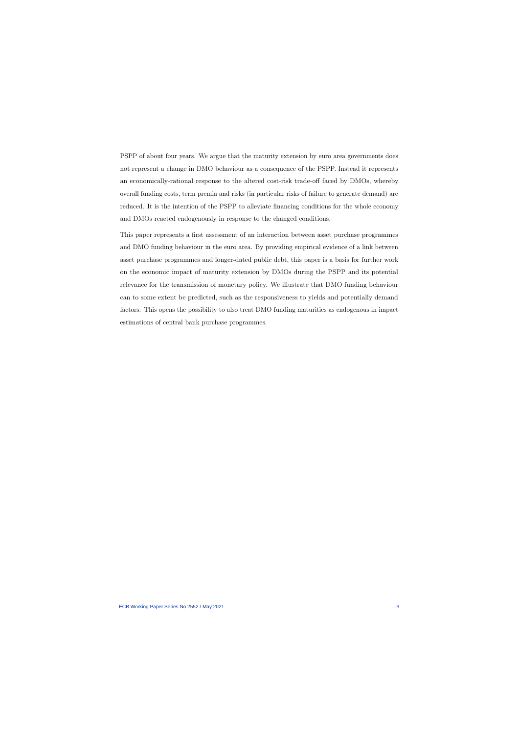PSPP of about four years. We argue that the maturity extension by euro area governments does not represent a change in DMO behaviour as a consequence of the PSPP. Instead it represents an economically-rational response to the altered cost-risk trade-off faced by DMOs, whereby overall funding costs, term premia and risks (in particular risks of failure to generate demand) are reduced. It is the intention of the PSPP to alleviate financing conditions for the whole economy and DMOs reacted endogenously in response to the changed conditions.

This paper represents a first assessment of an interaction between asset purchase programmes and DMO funding behaviour in the euro area. By providing empirical evidence of a link between asset purchase programmes and longer-dated public debt, this paper is a basis for further work on the economic impact of maturity extension by DMOs during the PSPP and its potential relevance for the transmission of monetary policy. We illustrate that DMO funding behaviour can to some extent be predicted, such as the responsiveness to yields and potentially demand factors. This opens the possibility to also treat DMO funding maturities as endogenous in impact estimations of central bank purchase programmes.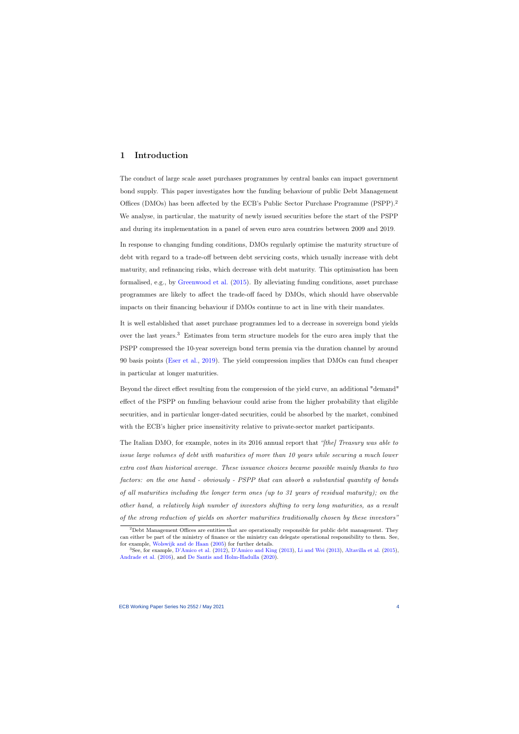### 1 Introduction

The conduct of large scale asset purchases programmes by central banks can impact government bond supply. This paper investigates how the funding behaviour of public Debt Management Offices (DMOs) has been affected by the ECB's Public Sector Purchase Programme (PSPP).<sup>2</sup> We analyse, in particular, the maturity of newly issued securities before the start of the PSPP and during its implementation in a panel of seven euro area countries between 2009 and 2019.

In response to changing funding conditions, DMOs regularly optimise the maturity structure of debt with regard to a trade-off between debt servicing costs, which usually increase with debt maturity, and refinancing risks, which decrease with debt maturity. This optimisation has been formalised, e.g., by [Greenwood et al.](#page-31-0) [\(2015\)](#page-31-0). By alleviating funding conditions, asset purchase programmes are likely to affect the trade-off faced by DMOs, which should have observable impacts on their financing behaviour if DMOs continue to act in line with their mandates.

It is well established that asset purchase programmes led to a decrease in sovereign bond yields over the last years.<sup>3</sup> Estimates from term structure models for the euro area imply that the PSPP compressed the 10-year sovereign bond term premia via the duration channel by around 90 basis points [\(Eser et al.,](#page-31-1) [2019\)](#page-31-1). The yield compression implies that DMOs can fund cheaper in particular at longer maturities.

Beyond the direct effect resulting from the compression of the yield curve, an additional "demand" effect of the PSPP on funding behaviour could arise from the higher probability that eligible securities, and in particular longer-dated securities, could be absorbed by the market, combined with the ECB's higher price insensitivity relative to private-sector market participants.

The Italian DMO, for example, notes in its 2016 annual report that "[the] Treasury was able to issue large volumes of debt with maturities of more than 10 years while securing a much lower extra cost than historical average. These issuance choices became possible mainly thanks to two factors: on the one hand - obviously - PSPP that can absorb a substantial quantity of bonds of all maturities including the longer term ones (up to 31 years of residual maturity); on the other hand, a relatively high number of investors shifting to very long maturities, as a result of the strong reduction of yields on shorter maturities traditionally chosen by these investors"

 $2$ Debt Management Offices are entities that are operationally responsible for public debt management. They can either be part of the ministry of finance or the ministry can delegate operational responsibility to them. See, for example, [Wolswijk and de Haan](#page-33-0) [\(2005\)](#page-33-0) for further details.

<sup>3</sup>See, for example, [D'Amico et al.](#page-31-2) [\(2012\)](#page-31-2), [D'Amico and King](#page-31-3) [\(2013\)](#page-31-3), [Li and Wei](#page-32-0) [\(2013\)](#page-32-0), [Altavilla et al.](#page-30-0) [\(2015\)](#page-30-0), [Andrade et al.](#page-30-1) [\(2016\)](#page-30-1), and [De Santis and Holm-Hadulla](#page-30-2) [\(2020\)](#page-30-2).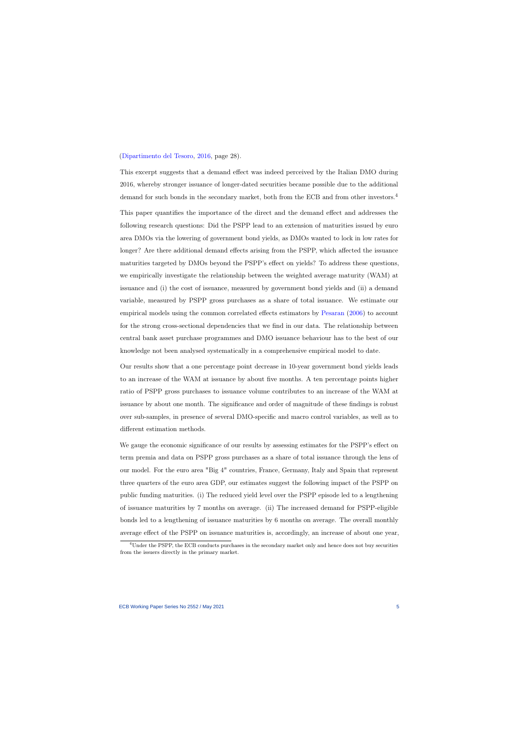#### [\(Dipartimento del Tesoro,](#page-30-3) [2016,](#page-30-3) page 28).

This excerpt suggests that a demand effect was indeed perceived by the Italian DMO during 2016, whereby stronger issuance of longer-dated securities became possible due to the additional demand for such bonds in the secondary market, both from the ECB and from other investors.<sup>4</sup> This paper quantifies the importance of the direct and the demand effect and addresses the following research questions: Did the PSPP lead to an extension of maturities issued by euro area DMOs via the lowering of government bond yields, as DMOs wanted to lock in low rates for longer? Are there additional demand effects arising from the PSPP, which affected the issuance maturities targeted by DMOs beyond the PSPP's effect on yields? To address these questions, we empirically investigate the relationship between the weighted average maturity (WAM) at issuance and (i) the cost of issuance, measured by government bond yields and (ii) a demand variable, measured by PSPP gross purchases as a share of total issuance. We estimate our empirical models using the common correlated effects estimators by [Pesaran](#page-32-1) [\(2006\)](#page-32-1) to account for the strong cross-sectional dependencies that we find in our data. The relationship between central bank asset purchase programmes and DMO issuance behaviour has to the best of our knowledge not been analysed systematically in a comprehensive empirical model to date.

Our results show that a one percentage point decrease in 10-year government bond yields leads to an increase of the WAM at issuance by about five months. A ten percentage points higher ratio of PSPP gross purchases to issuance volume contributes to an increase of the WAM at issuance by about one month. The significance and order of magnitude of these findings is robust over sub-samples, in presence of several DMO-specific and macro control variables, as well as to different estimation methods.

We gauge the economic significance of our results by assessing estimates for the PSPP's effect on term premia and data on PSPP gross purchases as a share of total issuance through the lens of our model. For the euro area "Big 4" countries, France, Germany, Italy and Spain that represent three quarters of the euro area GDP, our estimates suggest the following impact of the PSPP on public funding maturities. (i) The reduced yield level over the PSPP episode led to a lengthening of issuance maturities by 7 months on average. (ii) The increased demand for PSPP-eligible bonds led to a lengthening of issuance maturities by 6 months on average. The overall monthly average effect of the PSPP on issuance maturities is, accordingly, an increase of about one year,

<sup>&</sup>lt;sup>4</sup>Under the PSPP, the ECB conducts purchases in the secondary market only and hence does not buy securities from the issuers directly in the primary market.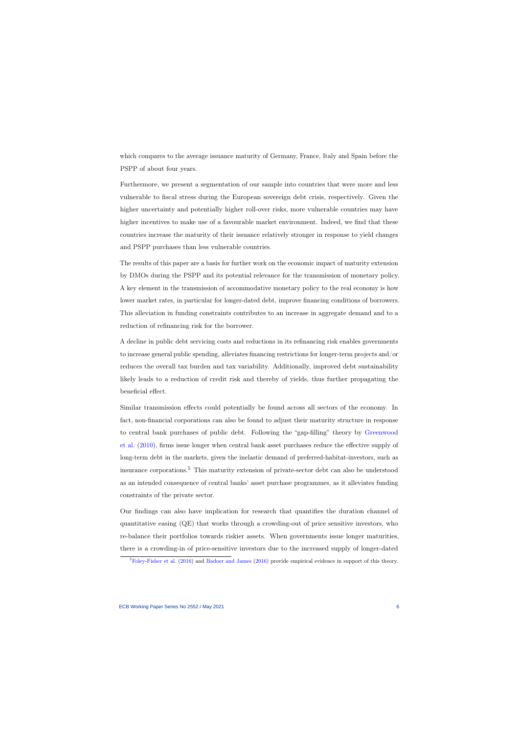which compares to the average issuance maturity of Germany, France, Italy and Spain before the PSPP of about four years.

Furthermore, we present a segmentation of our sample into countries that were more and less vulnerable to fiscal stress during the European sovereign debt crisis, respectively. Given the higher uncertainty and potentially higher roll-over risks, more vulnerable countries may have higher incentives to make use of a favourable market environment. Indeed, we find that these countries increase the maturity of their issuance relatively stronger in response to yield changes and PSPP purchases than less vulnerable countries.

The results of this paper are a basis for further work on the economic impact of maturity extension by DMOs during the PSPP and its potential relevance for the transmission of monetary policy. A key element in the transmission of accommodative monetary policy to the real economy is how lower market rates, in particular for longer-dated debt, improve financing conditions of borrowers. This alleviation in funding constraints contributes to an increase in aggregate demand and to a reduction of refinancing risk for the borrower.

A decline in public debt servicing costs and reductions in its refinancing risk enables governments to increase general public spending, alleviates financing restrictions for longer-term projects and/or reduces the overall tax burden and tax variability. Additionally, improved debt sustainability likely leads to a reduction of credit risk and thereby of yields, thus further propagating the beneficial effect.

Similar transmission effects could potentially be found across all sectors of the economy. In fact, non-financial corporations can also be found to adjust their maturity structure in response to central bank purchases of public debt. Following the "gap-filling" theory by [Greenwood](#page-31-4) [et al.](#page-31-4) [\(2010\)](#page-31-4), firms issue longer when central bank asset purchases reduce the effective supply of long-term debt in the markets, given the inelastic demand of preferred-habitat-investors, such as insurance corporations.<sup>5</sup> This maturity extension of private-sector debt can also be understood as an intended consequence of central banks' asset purchase programmes, as it alleviates funding constraints of the private sector.

Our findings can also have implication for research that quantifies the duration channel of quantitative easing (QE) that works through a crowding-out of price sensitive investors, who re-balance their portfolios towards riskier assets. When governments issue longer maturities, there is a crowding-in of price-sensitive investors due to the increased supply of longer-dated

 ${}^{5}$ [Foley-Fisher et al.](#page-31-5) [\(2016\)](#page-30-4) and [Badoer and James](#page-30-4) (2016) provide empirical evidence in support of this theory.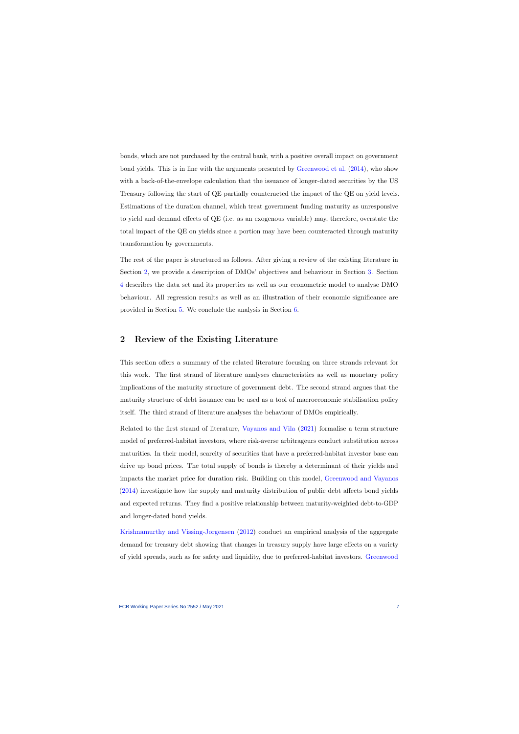bonds, which are not purchased by the central bank, with a positive overall impact on government bond yields. This is in line with the arguments presented by [Greenwood et al.](#page-31-6) [\(2014\)](#page-31-6), who show with a back-of-the-envelope calculation that the issuance of longer-dated securities by the US Treasury following the start of QE partially counteracted the impact of the QE on yield levels. Estimations of the duration channel, which treat government funding maturity as unresponsive to yield and demand effects of QE (i.e. as an exogenous variable) may, therefore, overstate the total impact of the QE on yields since a portion may have been counteracted through maturity transformation by governments.

The rest of the paper is structured as follows. After giving a review of the existing literature in Section [2,](#page-7-0) we provide a description of DMOs' objectives and behaviour in Section [3.](#page-10-0) Section [4](#page-14-0) describes the data set and its properties as well as our econometric model to analyse DMO behaviour. All regression results as well as an illustration of their economic significance are provided in Section [5.](#page-20-0) We conclude the analysis in Section [6.](#page-28-0)

### 2 Review of the Existing Literature

This section offers a summary of the related literature focusing on three strands relevant for this work. The first strand of literature analyses characteristics as well as monetary policy implications of the maturity structure of government debt. The second strand argues that the maturity structure of debt issuance can be used as a tool of macroeconomic stabilisation policy itself. The third strand of literature analyses the behaviour of DMOs empirically.

<span id="page-7-0"></span>Related to the first strand of literature, [Vayanos and Vila](#page-33-1) [\(2021\)](#page-33-1) formalise a term structure model of preferred-habitat investors, where risk-averse arbitrageurs conduct substitution across maturities. In their model, scarcity of securities that have a preferred-habitat investor base can drive up bond prices. The total supply of bonds is thereby a determinant of their yields and impacts the market price for duration risk. Building on this model, [Greenwood and Vayanos](#page-31-7) [\(2014\)](#page-31-7) investigate how the supply and maturity distribution of public debt affects bond yields and expected returns. They find a positive relationship between maturity-weighted debt-to-GDP and longer-dated bond yields.

[Krishnamurthy and Vissing-Jorgensen](#page-32-2) [\(2012\)](#page-32-2) conduct an empirical analysis of the aggregate demand for treasury debt showing that changes in treasury supply have large effects on a variety of yield spreads, such as for safety and liquidity, due to preferred-habitat investors. [Greenwood](#page-31-6)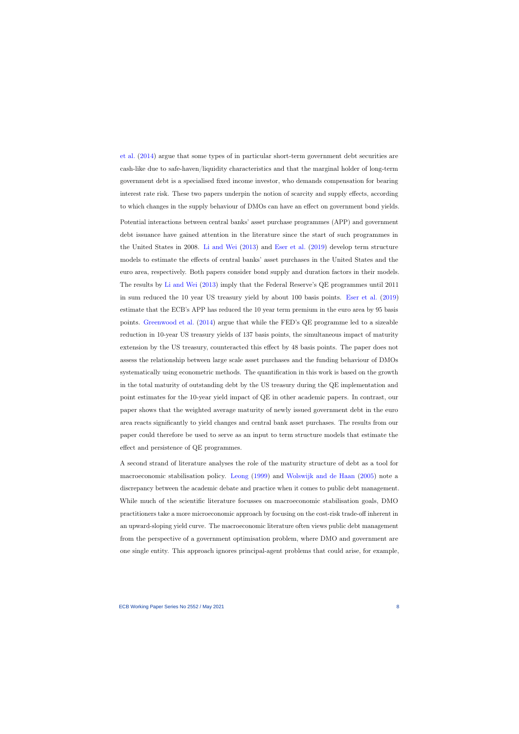[et al.](#page-31-6) [\(2014\)](#page-31-6) argue that some types of in particular short-term government debt securities are cash-like due to safe-haven/liquidity characteristics and that the marginal holder of long-term government debt is a specialised fixed income investor, who demands compensation for bearing interest rate risk. These two papers underpin the notion of scarcity and supply effects, according to which changes in the supply behaviour of DMOs can have an effect on government bond yields.

Potential interactions between central banks' asset purchase programmes (APP) and government debt issuance have gained attention in the literature since the start of such programmes in the United States in 2008. [Li and Wei](#page-32-0) [\(2013\)](#page-32-0) and [Eser et al.](#page-31-1) [\(2019\)](#page-31-1) develop term structure models to estimate the effects of central banks' asset purchases in the United States and the euro area, respectively. Both papers consider bond supply and duration factors in their models. The results by [Li and Wei](#page-32-0) [\(2013\)](#page-32-0) imply that the Federal Reserve's QE programmes until 2011 in sum reduced the 10 year US treasury yield by about 100 basis points. [Eser et al.](#page-31-1) [\(2019\)](#page-31-1) estimate that the ECB's APP has reduced the 10 year term premium in the euro area by 95 basis points. [Greenwood et al.](#page-31-6) [\(2014\)](#page-31-6) argue that while the FED's QE programme led to a sizeable reduction in 10-year US treasury yields of 137 basis points, the simultaneous impact of maturity extension by the US treasury, counteracted this effect by 48 basis points. The paper does not assess the relationship between large scale asset purchases and the funding behaviour of DMOs systematically using econometric methods. The quantification in this work is based on the growth in the total maturity of outstanding debt by the US treasury during the QE implementation and point estimates for the 10-year yield impact of QE in other academic papers. In contrast, our paper shows that the weighted average maturity of newly issued government debt in the euro area reacts significantly to yield changes and central bank asset purchases. The results from our paper could therefore be used to serve as an input to term structure models that estimate the effect and persistence of QE programmes.

A second strand of literature analyses the role of the maturity structure of debt as a tool for macroeconomic stabilisation policy. [Leong](#page-32-3) [\(1999\)](#page-32-3) and [Wolswijk and de Haan](#page-33-0) [\(2005\)](#page-33-0) note a discrepancy between the academic debate and practice when it comes to public debt management. While much of the scientific literature focusses on macroeconomic stabilisation goals, DMO practitioners take a more microeconomic approach by focusing on the cost-risk trade-off inherent in an upward-sloping yield curve. The macroeconomic literature often views public debt management from the perspective of a government optimisation problem, where DMO and government are one single entity. This approach ignores principal-agent problems that could arise, for example,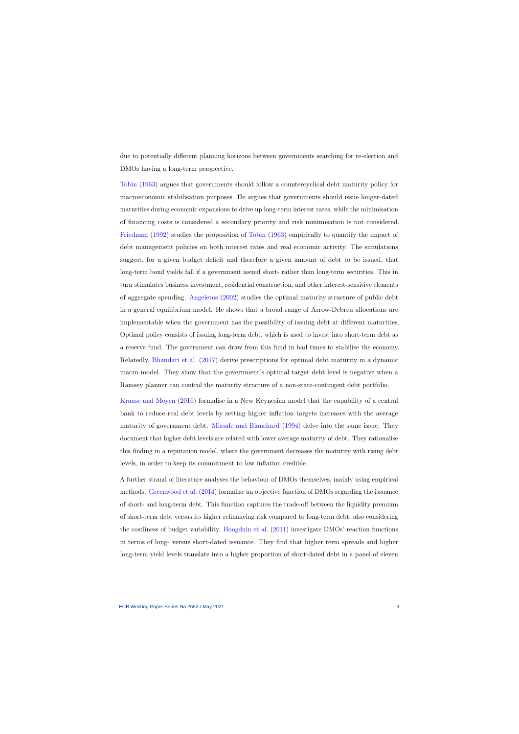due to potentially different planning horizons between governments searching for re-election and DMOs having a long-term perspective.

[Tobin](#page-33-2) [\(1963\)](#page-33-2) argues that governments should follow a countercyclical debt maturity policy for macroeconomic stabilisation purposes. He argues that governments should issue longer-dated maturities during economic expansions to drive up long-term interest rates, while the minimisation of financing costs is considered a secondary priority and risk minimisation is not considered. [Friedman](#page-31-8) [\(1992\)](#page-31-8) studies the proposition of [Tobin](#page-33-2) [\(1963\)](#page-33-2) empirically to quantify the impact of debt management policies on both interest rates and real economic activity. The simulations suggest, for a given budget deficit and therefore a given amount of debt to be issued, that long-term bond yields fall if a government issued short- rather than long-term securities. This in turn stimulates business investment, residential construction, and other interest-sensitive elements of aggregate spending. [Angeletos](#page-30-5) [\(2002\)](#page-30-5) studies the optimal maturity structure of public debt in a general equilibrium model. He shows that a broad range of Arrow-Debreu allocations are implementable when the government has the possibility of issuing debt at different maturities. Optimal policy consists of issuing long-term debt, which is used to invest into short-term debt as a reserve fund. The government can draw from this fund in bad times to stabilise the economy. Relatedly, [Bhandari et al.](#page-30-6) [\(2017\)](#page-30-6) derive prescriptions for optimal debt maturity in a dynamic macro model. They show that the government's optimal target debt level is negative when a Ramsey planner can control the maturity structure of a non-state-contingent debt portfolio.

[Krause and Moyen](#page-32-4) [\(2016\)](#page-32-4) formalise in a New Keynesian model that the capability of a central bank to reduce real debt levels by setting higher inflation targets increases with the average maturity of government debt. [Missale and Blanchard](#page-32-5) [\(1994\)](#page-32-5) delve into the same issue. They document that higher debt levels are related with lower average maturity of debt. They rationalise this finding in a reputation model, where the government decreases the maturity with rising debt levels, in order to keep its commitment to low inflation credible.

A further strand of literature analyses the behaviour of DMOs themselves, mainly using empirical methods. [Greenwood et al.](#page-31-6) [\(2014\)](#page-31-6) formalise an objective function of DMOs regarding the issuance of short- and long-term debt. This function captures the trade-off between the liquidity premium of short-term debt versus its higher refinancing risk compared to long-term debt, also considering the costliness of budget variability. [Hoogduin et al.](#page-32-6) [\(2011\)](#page-32-6) investigate DMOs' reaction functions in terms of long- versus short-dated issuance. They find that higher term spreads and higher long-term yield levels translate into a higher proportion of short-dated debt in a panel of eleven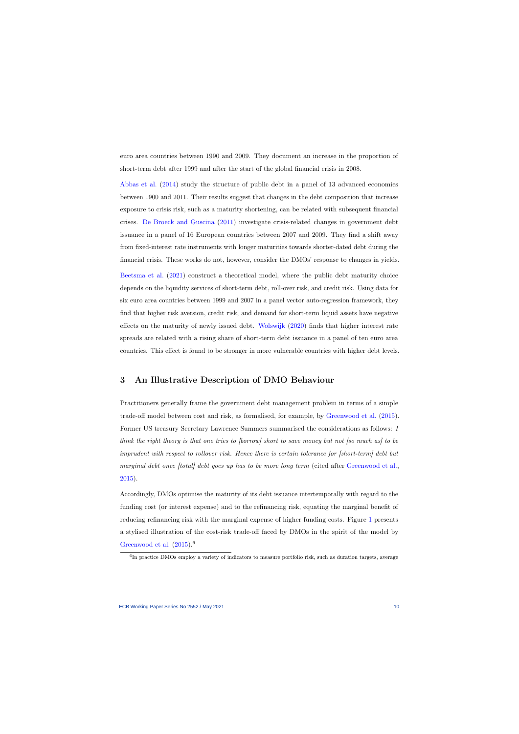euro area countries between 1990 and 2009. They document an increase in the proportion of short-term debt after 1999 and after the start of the global financial crisis in 2008.

[Abbas et al.](#page-30-7) [\(2014\)](#page-30-7) study the structure of public debt in a panel of 13 advanced economies between 1900 and 2011. Their results suggest that changes in the debt composition that increase exposure to crisis risk, such as a maturity shortening, can be related with subsequent financial crises. [De Broeck and Guscina](#page-30-8) [\(2011\)](#page-30-8) investigate crisis-related changes in government debt issuance in a panel of 16 European countries between 2007 and 2009. They find a shift away from fixed-interest rate instruments with longer maturities towards shorter-dated debt during the financial crisis. These works do not, however, consider the DMOs' response to changes in yields.

[Beetsma et al.](#page-30-9) [\(2021\)](#page-30-9) construct a theoretical model, where the public debt maturity choice depends on the liquidity services of short-term debt, roll-over risk, and credit risk. Using data for six euro area countries between 1999 and 2007 in a panel vector auto-regression framework, they find that higher risk aversion, credit risk, and demand for short-term liquid assets have negative effects on the maturity of newly issued debt. [Wolswijk](#page-33-3) [\(2020\)](#page-33-3) finds that higher interest rate spreads are related with a rising share of short-term debt issuance in a panel of ten euro area countries. This effect is found to be stronger in more vulnerable countries with higher debt levels.

### 3 An Illustrative Description of DMO Behaviour

Practitioners generally frame the government debt management problem in terms of a simple trade-off model between cost and risk, as formalised, for example, by [Greenwood et al.](#page-31-0) [\(2015\)](#page-31-0). Former US treasury Secretary Lawrence Summers summarised the considerations as follows: I think the right theory is that one tries to [borrow] short to save money but not [so much as] to be imprudent with respect to rollover risk. Hence there is certain tolerance for [short-term] debt but marginal debt once [total] debt goes up has to be more long term (cited after [Greenwood et al.,](#page-31-0) [2015\)](#page-31-0).

<span id="page-10-0"></span>Accordingly, DMOs optimise the maturity of its debt issuance intertemporally with regard to the funding cost (or interest expense) and to the refinancing risk, equating the marginal benefit of reducing refinancing risk with the marginal expense of higher funding costs. Figure [1](#page-11-0) presents a stylised illustration of the cost-risk trade-off faced by DMOs in the spirit of the model by [Greenwood et al.](#page-31-0)  $(2015).<sup>6</sup>$  $(2015).<sup>6</sup>$ 

<sup>&</sup>lt;sup>6</sup>In practice DMOs employ a variety of indicators to measure portfolio risk, such as duration targets, average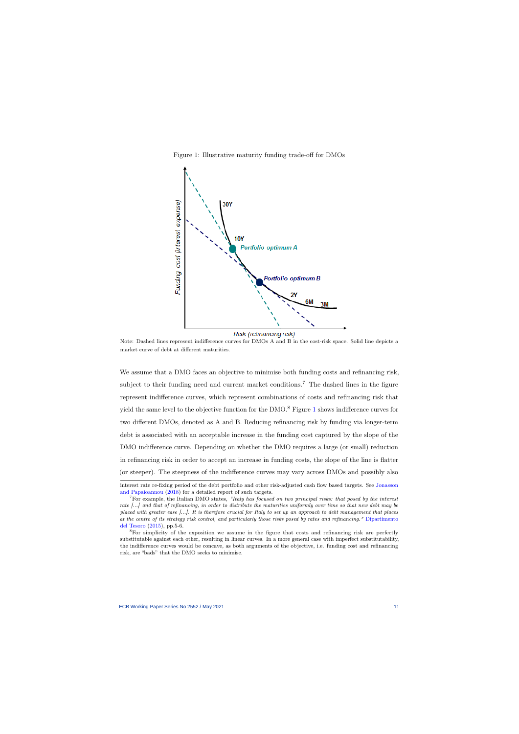



<span id="page-11-0"></span>Note: Dashed lines represent indifference curves for DMOs A and B in the cost-risk space. Solid line depicts a market curve of debt at different maturities.

We assume that a DMO faces an objective to minimise both funding costs and refinancing risk, subject to their funding need and current market conditions.<sup>7</sup> The dashed lines in the figure represent indifference curves, which represent combinations of costs and refinancing risk that yield the same level to the objective function for the  $\rm{DMO}^8$  Figure [1](#page-11-0) shows indifference curves for two different DMOs, denoted as A and B. Reducing refinancing risk by funding via longer-term debt is associated with an acceptable increase in the funding cost captured by the slope of the DMO indifference curve. Depending on whether the DMO requires a large (or small) reduction in refinancing risk in order to accept an increase in funding costs, the slope of the line is flatter (or steeper). The steepness of the indifference curves may vary across DMOs and possibly also

interest rate re-fixing period of the debt portfolio and other risk-adjusted cash flow based targets. See [Jonasson](#page-32-7) [and Papaioannou](#page-32-7) [\(2018\)](#page-32-7) for a detailed report of such targets.

<sup>&</sup>lt;sup>7</sup>For example, the Italian DMO states, "Italy has focused on two principal risks: that posed by the interest rate [...] and that of refinancing, in order to distribute the maturities uniformly over time so that new debt may be placed with greater ease [...]. It is therefore crucial for Italy to set up an approach to debt management that places at the centre of its strategy risk control, and particularly those risks posed by rates and refinancing." [Dipartimento](#page-30-10) [del Tesoro](#page-30-10) [\(2015\)](#page-30-10), pp.5-6.

<sup>8</sup>For simplicity of the exposition we assume in the figure that costs and refinancing risk are perfectly substitutable against each other, resulting in linear curves. In a more general case with imperfect substitutability, the indifference curves would be concave, as both arguments of the objective, i.e. funding cost and refinancing risk, are "bads" that the DMO seeks to minimise.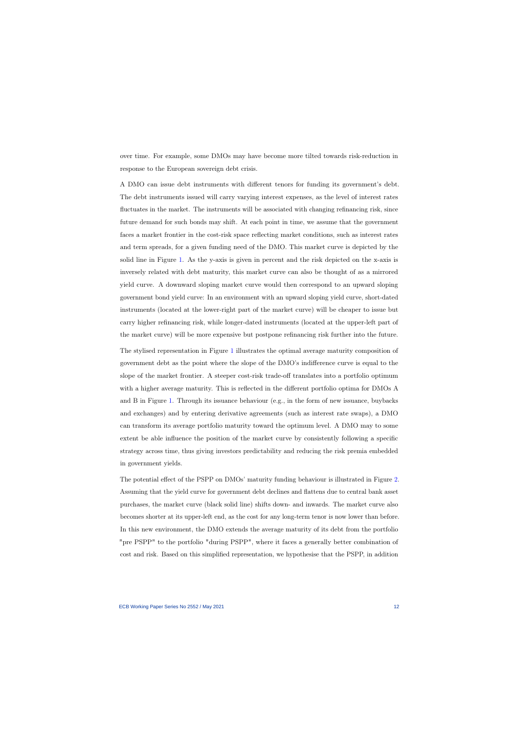over time. For example, some DMOs may have become more tilted towards risk-reduction in response to the European sovereign debt crisis.

A DMO can issue debt instruments with different tenors for funding its government's debt. The debt instruments issued will carry varying interest expenses, as the level of interest rates fluctuates in the market. The instruments will be associated with changing refinancing risk, since future demand for such bonds may shift. At each point in time, we assume that the government faces a market frontier in the cost-risk space reflecting market conditions, such as interest rates and term spreads, for a given funding need of the DMO. This market curve is depicted by the solid line in Figure [1.](#page-11-0) As the y-axis is given in percent and the risk depicted on the x-axis is inversely related with debt maturity, this market curve can also be thought of as a mirrored yield curve. A downward sloping market curve would then correspond to an upward sloping government bond yield curve: In an environment with an upward sloping yield curve, short-dated instruments (located at the lower-right part of the market curve) will be cheaper to issue but carry higher refinancing risk, while longer-dated instruments (located at the upper-left part of the market curve) will be more expensive but postpone refinancing risk further into the future.

The stylised representation in Figure [1](#page-11-0) illustrates the optimal average maturity composition of government debt as the point where the slope of the DMO's indifference curve is equal to the slope of the market frontier. A steeper cost-risk trade-off translates into a portfolio optimum with a higher average maturity. This is reflected in the different portfolio optima for DMOs A and B in Figure [1.](#page-11-0) Through its issuance behaviour (e.g., in the form of new issuance, buybacks and exchanges) and by entering derivative agreements (such as interest rate swaps), a DMO can transform its average portfolio maturity toward the optimum level. A DMO may to some extent be able influence the position of the market curve by consistently following a specific strategy across time, thus giving investors predictability and reducing the risk premia embedded in government yields.

The potential effect of the PSPP on DMOs' maturity funding behaviour is illustrated in Figure [2.](#page-13-0) Assuming that the yield curve for government debt declines and flattens due to central bank asset purchases, the market curve (black solid line) shifts down- and inwards. The market curve also becomes shorter at its upper-left end, as the cost for any long-term tenor is now lower than before. In this new environment, the DMO extends the average maturity of its debt from the portfolio "pre PSPP" to the portfolio "during PSPP", where it faces a generally better combination of cost and risk. Based on this simplified representation, we hypothesise that the PSPP, in addition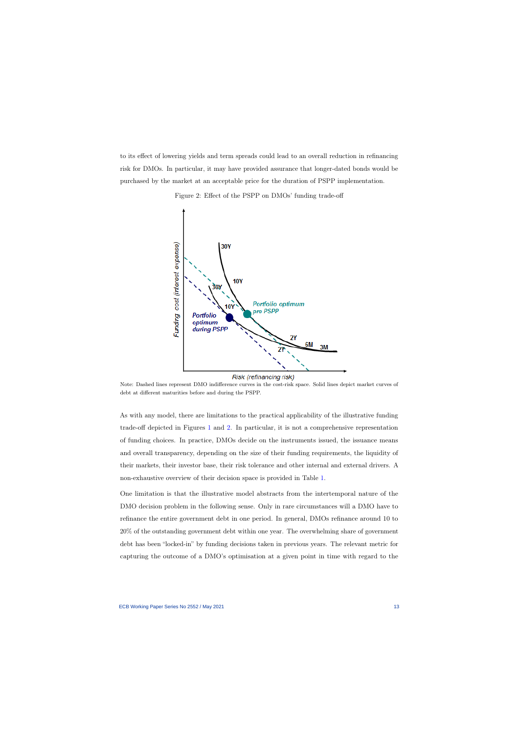to its effect of lowering yields and term spreads could lead to an overall reduction in refinancing risk for DMOs. In particular, it may have provided assurance that longer-dated bonds would be purchased by the market at an acceptable price for the duration of PSPP implementation.



Figure 2: Effect of the PSPP on DMOs' funding trade-off

<span id="page-13-0"></span>Note: Dashed lines represent DMO indifference curves in the cost-risk space. Solid lines depict market curves of debt at different maturities before and during the PSPP.

As with any model, there are limitations to the practical applicability of the illustrative funding trade-off depicted in Figures [1](#page-11-0) and [2.](#page-13-0) In particular, it is not a comprehensive representation of funding choices. In practice, DMOs decide on the instruments issued, the issuance means and overall transparency, depending on the size of their funding requirements, the liquidity of their markets, their investor base, their risk tolerance and other internal and external drivers. A non-exhaustive overview of their decision space is provided in Table [1.](#page-14-1)

One limitation is that the illustrative model abstracts from the intertemporal nature of the DMO decision problem in the following sense. Only in rare circumstances will a DMO have to refinance the entire government debt in one period. In general, DMOs refinance around 10 to 20% of the outstanding government debt within one year. The overwhelming share of government debt has been "locked-in" by funding decisions taken in previous years. The relevant metric for capturing the outcome of a DMO's optimisation at a given point in time with regard to the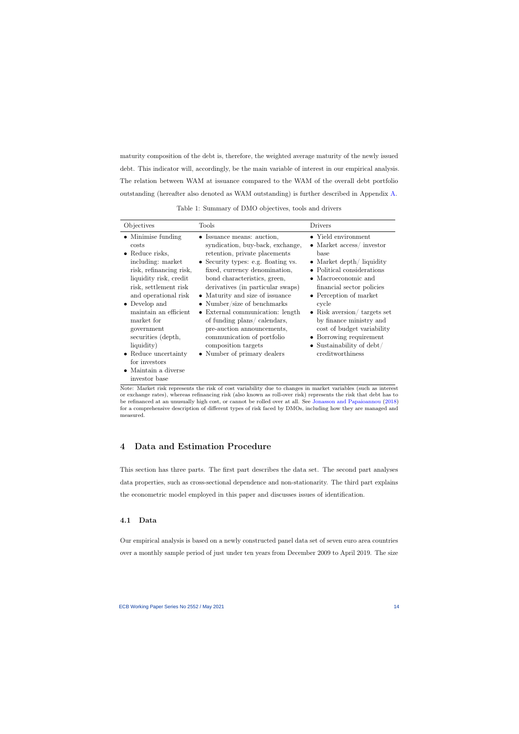maturity composition of the debt is, therefore, the weighted average maturity of the newly issued debt. This indicator will, accordingly, be the main variable of interest in our empirical analysis. The relation between WAM at issuance compared to the WAM of the overall debt portfolio outstanding (hereafter also denoted as WAM outstanding) is further described in Appendix [A.](#page-34-0)

| Objectives                                                                                                                                                                                                                                                                                                                                                                                    | Tools                                                                                                                                                                                                                                                                                                                                                                                                                                                                                               | Drivers                                                                                                                                                                                                                                                                                                                                                                               |
|-----------------------------------------------------------------------------------------------------------------------------------------------------------------------------------------------------------------------------------------------------------------------------------------------------------------------------------------------------------------------------------------------|-----------------------------------------------------------------------------------------------------------------------------------------------------------------------------------------------------------------------------------------------------------------------------------------------------------------------------------------------------------------------------------------------------------------------------------------------------------------------------------------------------|---------------------------------------------------------------------------------------------------------------------------------------------------------------------------------------------------------------------------------------------------------------------------------------------------------------------------------------------------------------------------------------|
| $\bullet$ Minimise funding<br>costs<br>$\bullet$ Reduce risks,<br>including: market<br>risk, refinancing risk,<br>liquidity risk, credit<br>risk, settlement risk<br>and operational risk<br>• Develop and<br>maintain an efficient<br>market for<br>government<br>securities (depth,<br>liquidity)<br>$\bullet$ Reduce uncertainty<br>for investors<br>• Maintain a diverse<br>investor base | • Issuance means: auction,<br>syndication, buy-back, exchange,<br>retention, private placements<br>• Security types: e.g. floating vs.<br>fixed, currency denomination,<br>bond characteristics, green,<br>derivatives (in particular swaps)<br>• Maturity and size of issuance<br>• Number/size of benchmarks<br>• External communication: length<br>of funding plans/calendars,<br>pre-auction announcements,<br>communication of portfolio<br>composition targets<br>• Number of primary dealers | • Yield environment<br>• Market $\arccos x /$ investor<br>base<br>• Market depth/ liquidity<br>• Political considerations<br>• Macroeconomic and<br>financial sector policies<br>• Perception of market<br>cycle<br>• Risk aversion/ targets set<br>by finance ministry and<br>cost of budget variability<br>• Borrowing requirement<br>• Sustainability of debt/<br>creditworthiness |

Table 1: Summary of DMO objectives, tools and drivers

<span id="page-14-1"></span>Note: Market risk represents the risk of cost variability due to changes in market variables (such as interest or exchange rates), whereas refinancing risk (also known as roll-over risk) represents the risk that debt has to be refinanced at an unusually high cost, or cannot be rolled over at all. See [Jonasson and Papaioannou](#page-32-7) [\(2018\)](#page-32-7) for a comprehensive description of different types of risk faced by DMOs, including how they are managed and measured.

### 4 Data and Estimation Procedure

This section has three parts. The first part describes the data set. The second part analyses data properties, such as cross-sectional dependence and non-stationarity. The third part explains the econometric model employed in this paper and discusses issues of identification.

#### 4.1 Data

<span id="page-14-0"></span>Our empirical analysis is based on a newly constructed panel data set of seven euro area countries over a monthly sample period of just under ten years from December 2009 to April 2019. The size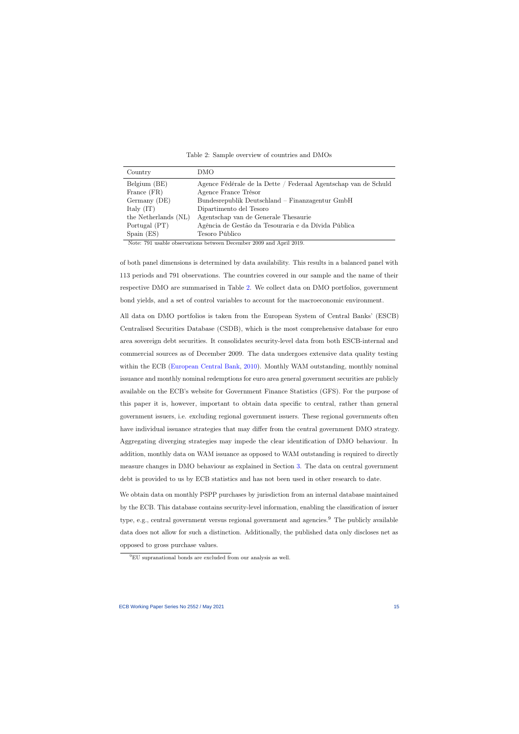| Country                             | DMO                                                             |
|-------------------------------------|-----------------------------------------------------------------|
| Belgium (BE)                        | Agence Fédérale de la Dette / Federaal Agentschap van de Schuld |
| France (FR)                         | Agence France Trésor                                            |
| Germany (DE)                        | Bundesrepublik Deutschland – Finanzagentur GmbH                 |
| Italy $(IT)$                        | Dipartimento del Tesoro                                         |
| the Netherlands (NL)                | Agentschap van de Generale Thesaurie                            |
| Portugal (PT)                       | Agência de Gestão da Tesouraria e da Dívida Pública             |
| Span(ES)                            | Tesoro Público                                                  |
| $\mathbf{r}$<br><b>11</b><br>$-0.1$ | $\sqrt{ }$<br>$\cdots$<br>$\mathbf{1}$<br>$\bigcap$             |

Table 2: Sample overview of countries and DMOs

Note: 791 usable observations between December 2009 and April 2019.

<span id="page-15-0"></span>of both panel dimensions is determined by data availability. This results in a balanced panel with 113 periods and 791 observations. The countries covered in our sample and the name of their respective DMO are summarised in Table [2.](#page-15-0) We collect data on DMO portfolios, government bond yields, and a set of control variables to account for the macroeconomic environment.

All data on DMO portfolios is taken from the European System of Central Banks' (ESCB) Centralised Securities Database (CSDB), which is the most comprehensive database for euro area sovereign debt securities. It consolidates security-level data from both ESCB-internal and commercial sources as of December 2009. The data undergoes extensive data quality testing within the ECB [\(European Central Bank,](#page-31-9) [2010\)](#page-31-9). Monthly WAM outstanding, monthly nominal issuance and monthly nominal redemptions for euro area general government securities are publicly available on the ECB's website for Government Finance Statistics (GFS). For the purpose of this paper it is, however, important to obtain data specific to central, rather than general government issuers, i.e. excluding regional government issuers. These regional governments often have individual issuance strategies that may differ from the central government DMO strategy. Aggregating diverging strategies may impede the clear identification of DMO behaviour. In addition, monthly data on WAM issuance as opposed to WAM outstanding is required to directly measure changes in DMO behaviour as explained in Section [3.](#page-10-0) The data on central government debt is provided to us by ECB statistics and has not been used in other research to date.

We obtain data on monthly PSPP purchases by jurisdiction from an internal database maintained by the ECB. This database contains security-level information, enabling the classification of issuer type, e.g., central government versus regional government and agencies.<sup>9</sup> The publicly available data does not allow for such a distinction. Additionally, the published data only discloses net as opposed to gross purchase values.

<sup>9</sup>EU supranational bonds are excluded from our analysis as well.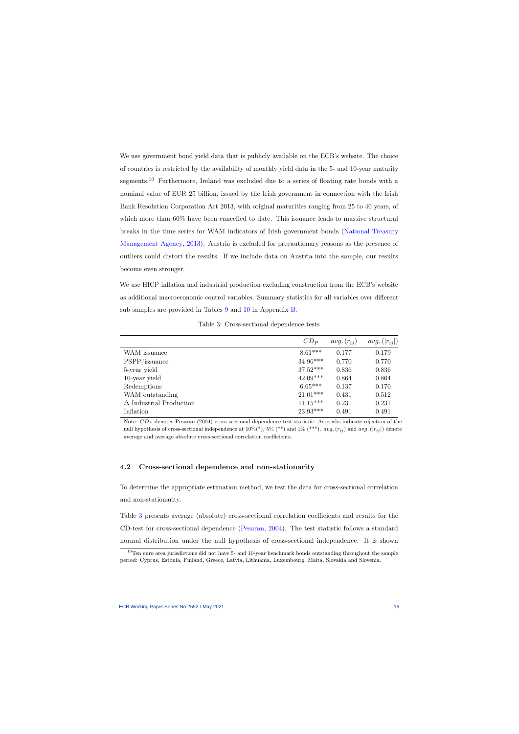We use government bond yield data that is publicly available on the ECB's website. The choice of countries is restricted by the availability of monthly yield data in the 5- and 10-year maturity segments.<sup>10</sup> Furthermore, Ireland was excluded due to a series of floating rate bonds with a nominal value of EUR 25 billion, issued by the Irish government in connection with the Irish Bank Resolution Corporation Act 2013, with original maturities ranging from 25 to 40 years, of which more than  $60\%$  have been cancelled to date. This issuance leads to massive structural breaks in the time series for WAM indicators of Irish government bonds [\(National Treasury](#page-32-8) [Management Agency,](#page-32-8) [2013\)](#page-32-8). Austria is excluded for precautionary reasons as the presence of outliers could distort the results. If we include data on Austria into the sample, our results become even stronger.

We use HICP inflation and industrial production excluding construction from the ECB's website as additional macroeconomic control variables. Summary statistics for all variables over different sub samples are provided in Tables [9](#page-37-0) and [10](#page-38-0) in Appendix [B.](#page-37-1)

Table 3: Cross-sectional dependence tests

|                                | $CD_P$     | $avg. (r_{ii})$ | $avg. ( r_{ij} )$ |
|--------------------------------|------------|-----------------|-------------------|
| WAM issuance                   | $8.61***$  | 0.177           | 0.179             |
| PSPP/issuance                  | $34.96***$ | 0.770           | 0.770             |
| 5-year yield                   | $37.52***$ | 0.836           | 0.836             |
| 10-year yield                  | $42.09***$ | 0.864           | 0.864             |
| Redemptions                    | $6.65***$  | 0.137           | 0.170             |
| WAM outstanding                | $21.01***$ | 0.431           | 0.512             |
| $\Delta$ Industrial Production | $11.15***$ | 0.231           | 0.231             |
| Inflation                      | $23.93***$ | 0.491           | 0.491             |

<span id="page-16-0"></span>Note:  $CD_P$  denotes Pesaran (2004) cross-sectional dependence test statistic. Asterisks indicate rejection of the null hypothesis of cross-sectional independence at  $10\%(*), 5\%(**)$  and  $1\%(***)$ .  $avg.(r_{ij})$  and  $avg.(|r_{ij}|)$  denote average and average absolute cross-sectional correlation coefficients.

#### 4.2 Cross-sectional dependence and non-stationarity

To determine the appropriate estimation method, we test the data for cross-sectional correlation and non-stationarity.

Table [3](#page-16-0) presents average (absolute) cross-sectional correlation coefficients and results for the CD-test for cross-sectional dependence [\(Pesaran,](#page-32-9) [2004\)](#page-32-9). The test statistic follows a standard normal distribution under the null hypothesis of cross-sectional independence. It is shown

 $10$ Ten euro area jurisdictions did not have 5- and 10-year benchmark bonds outstanding throughout the sample period: Cyprus, Estonia, Finland, Greece, Latvia, Lithuania, Luxembourg, Malta, Slovakia and Slovenia.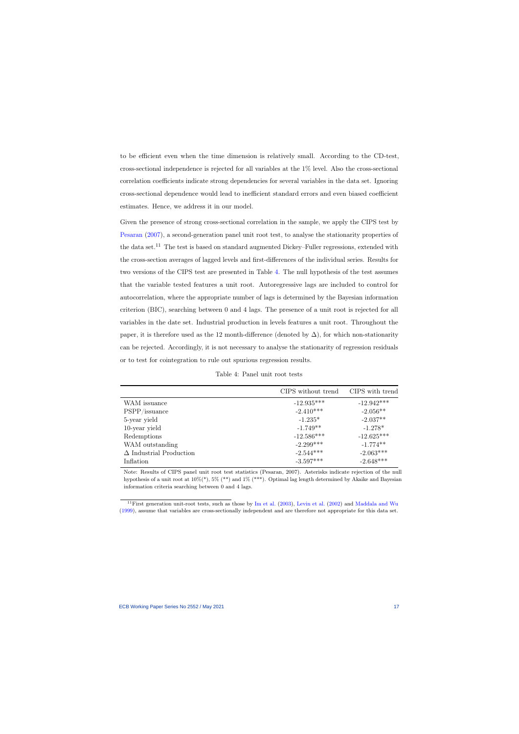to be efficient even when the time dimension is relatively small. According to the CD-test, cross-sectional independence is rejected for all variables at the 1% level. Also the cross-sectional correlation coefficients indicate strong dependencies for several variables in the data set. Ignoring cross-sectional dependence would lead to inefficient standard errors and even biased coefficient estimates. Hence, we address it in our model.

Given the presence of strong cross-sectional correlation in the sample, we apply the CIPS test by [Pesaran](#page-33-4) [\(2007\)](#page-33-4), a second-generation panel unit root test, to analyse the stationarity properties of the data set.<sup>11</sup> The test is based on standard augmented Dickey–Fuller regressions, extended with the cross-section averages of lagged levels and first-differences of the individual series. Results for two versions of the CIPS test are presented in Table [4.](#page-17-0) The null hypothesis of the test assumes that the variable tested features a unit root. Autoregressive lags are included to control for autocorrelation, where the appropriate number of lags is determined by the Bayesian information criterion (BIC), searching between 0 and 4 lags. The presence of a unit root is rejected for all variables in the date set. Industrial production in levels features a unit root. Throughout the paper, it is therefore used as the 12 month-difference (denoted by  $\Delta$ ), for which non-stationarity can be rejected. Accordingly, it is not necessary to analyse the stationarity of regression residuals or to test for cointegration to rule out spurious regression results.

| Table 4: Panel unit root tests |  |  |
|--------------------------------|--|--|
|                                |  |  |

|                                | CIPS without trend | CIPS with trend |
|--------------------------------|--------------------|-----------------|
| WAM issuance                   | $-12.935***$       | $-12.942***$    |
| PSPP/issuance                  | $-2.410***$        | $-2.056**$      |
| 5-year yield                   | $-1.235*$          | $-2.037**$      |
| 10-year yield                  | $-1.749**$         | $-1.278*$       |
| Redemptions                    | $-12.586***$       | $-12.625***$    |
| WAM outstanding                | $-2.299***$        | $-1.774**$      |
| $\Delta$ Industrial Production | $-2.544***$        | $-2.063***$     |
| Inflation                      | $-3.597***$        | $-2.648***$     |

<span id="page-17-0"></span>Note: Results of CIPS panel unit root test statistics (Pesaran, 2007). Asterisks indicate rejection of the null hypothesis of a unit root at  $10\%(*)$ ,  $5\%$  (\*\*) and  $1\%$  (\*\*\*). Optimal lag length determined by Akaike and Bayesian information criteria searching between 0 and 4 lags.

<sup>&</sup>lt;sup>11</sup>First generation unit-root tests, such as those by [Im et al.](#page-32-10)  $(2003)$ , [Levin et al.](#page-32-11)  $(2002)$  and [Maddala and Wu](#page-32-12) [\(1999\)](#page-32-12), assume that variables are cross-sectionally independent and are therefore not appropriate for this data set.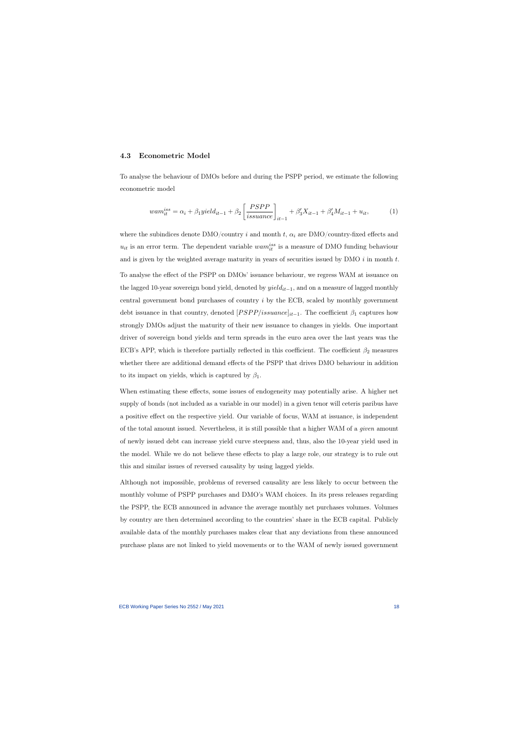#### 4.3 Econometric Model

To analyse the behaviour of DMOs before and during the PSPP period, we estimate the following econometric model

$$
wam_{it}^{iss} = \alpha_i + \beta_1 yield_{it-1} + \beta_2 \left[ \frac{PSPP}{issuance} \right]_{it-1} + \beta_3' X_{it-1} + \beta_4' M_{it-1} + u_{it}, \tag{1}
$$

<span id="page-18-0"></span>where the subindices denote  $\text{DMO}/\text{country}$  *i* and month t,  $\alpha_i$  are DMO/country-fixed effects and  $u_{it}$  is an error term. The dependent variable  $wam_{it}^{iss}$  is a measure of DMO funding behaviour and is given by the weighted average maturity in years of securities issued by DMO  $i$  in month  $t$ . To analyse the effect of the PSPP on DMOs' issuance behaviour, we regress WAM at issuance on the lagged 10-year sovereign bond yield, denoted by  $yield_{it-1}$ , and on a measure of lagged monthly central government bond purchases of country i by the ECB, scaled by monthly government debt issuance in that country, denoted  $[PSPP/issuance]_{it-1}$ . The coefficient  $\beta_1$  captures how strongly DMOs adjust the maturity of their new issuance to changes in yields. One important driver of sovereign bond yields and term spreads in the euro area over the last years was the ECB's APP, which is therefore partially reflected in this coefficient. The coefficient  $\beta_2$  measures whether there are additional demand effects of the PSPP that drives DMO behaviour in addition to its impact on yields, which is captured by  $\beta_1$ .

When estimating these effects, some issues of endogeneity may potentially arise. A higher net supply of bonds (not included as a variable in our model) in a given tenor will ceteris paribus have a positive effect on the respective yield. Our variable of focus, WAM at issuance, is independent of the total amount issued. Nevertheless, it is still possible that a higher WAM of a given amount of newly issued debt can increase yield curve steepness and, thus, also the 10-year yield used in the model. While we do not believe these effects to play a large role, our strategy is to rule out this and similar issues of reversed causality by using lagged yields.

Although not impossible, problems of reversed causality are less likely to occur between the monthly volume of PSPP purchases and DMO's WAM choices. In its press releases regarding the PSPP, the ECB announced in advance the average monthly net purchases volumes. Volumes by country are then determined according to the countries' share in the ECB capital. Publicly available data of the monthly purchases makes clear that any deviations from these announced purchase plans are not linked to yield movements or to the WAM of newly issued government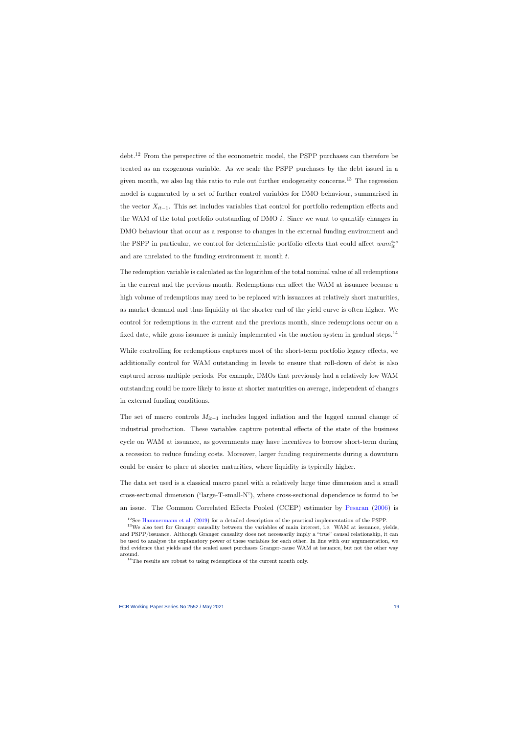debt.<sup>12</sup> From the perspective of the econometric model, the PSPP purchases can therefore be treated as an exogenous variable. As we scale the PSPP purchases by the debt issued in a given month, we also lag this ratio to rule out further endogeneity concerns.<sup>13</sup> The regression model is augmented by a set of further control variables for DMO behaviour, summarised in the vector  $X_{it-1}$ . This set includes variables that control for portfolio redemption effects and the WAM of the total portfolio outstanding of DMO  $i$ . Since we want to quantify changes in DMO behaviour that occur as a response to changes in the external funding environment and the PSPP in particular, we control for deterministic portfolio effects that could affect  $wam_{it}^{iss}$ and are unrelated to the funding environment in month t.

The redemption variable is calculated as the logarithm of the total nominal value of all redemptions in the current and the previous month. Redemptions can affect the WAM at issuance because a high volume of redemptions may need to be replaced with issuances at relatively short maturities, as market demand and thus liquidity at the shorter end of the yield curve is often higher. We control for redemptions in the current and the previous month, since redemptions occur on a fixed date, while gross issuance is mainly implemented via the auction system in gradual steps.<sup>14</sup>

While controlling for redemptions captures most of the short-term portfolio legacy effects, we additionally control for WAM outstanding in levels to ensure that roll-down of debt is also captured across multiple periods. For example, DMOs that previously had a relatively low WAM outstanding could be more likely to issue at shorter maturities on average, independent of changes in external funding conditions.

The set of macro controls  $M_{it-1}$  includes lagged inflation and the lagged annual change of industrial production. These variables capture potential effects of the state of the business cycle on WAM at issuance, as governments may have incentives to borrow short-term during a recession to reduce funding costs. Moreover, larger funding requirements during a downturn could be easier to place at shorter maturities, where liquidity is typically higher.

The data set used is a classical macro panel with a relatively large time dimension and a small cross-sectional dimension ("large-T-small-N"), where cross-sectional dependence is found to be an issue. The Common Correlated Effects Pooled (CCEP) estimator by [Pesaran](#page-32-1) [\(2006\)](#page-32-1) is

 $12$ See [Hammermann et al.](#page-31-10) [\(2019\)](#page-31-10) for a detailed description of the practical implementation of the PSPP.

<sup>&</sup>lt;sup>13</sup>We also test for Granger causality between the variables of main interest, i.e. WAM at issuance, yields, and PSPP/issuance. Although Granger causality does not necessarily imply a "true" causal relationship, it can be used to analyse the explanatory power of these variables for each other. In line with our argumentation, we find evidence that yields and the scaled asset purchases Granger-cause WAM at issuance, but not the other way around.

 $14$ The results are robust to using redemptions of the current month only.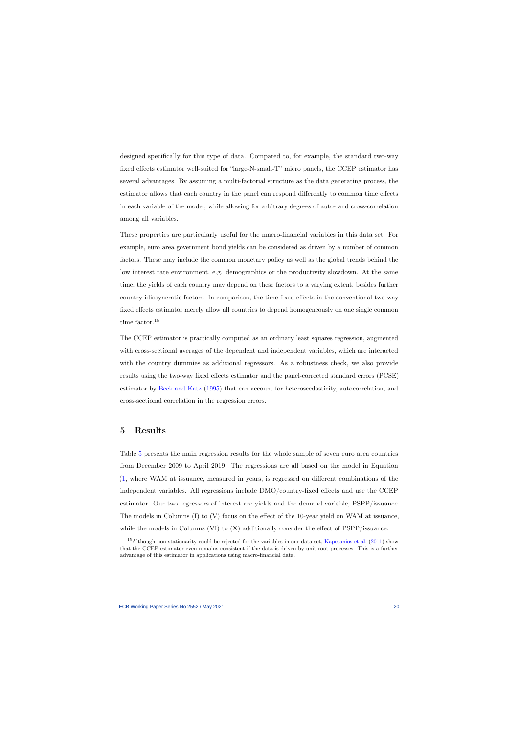designed specifically for this type of data. Compared to, for example, the standard two-way fixed effects estimator well-suited for "large-N-small-T" micro panels, the CCEP estimator has several advantages. By assuming a multi-factorial structure as the data generating process, the estimator allows that each country in the panel can respond differently to common time effects in each variable of the model, while allowing for arbitrary degrees of auto- and cross-correlation among all variables.

These properties are particularly useful for the macro-financial variables in this data set. For example, euro area government bond yields can be considered as driven by a number of common factors. These may include the common monetary policy as well as the global trends behind the low interest rate environment, e.g. demographics or the productivity slowdown. At the same time, the yields of each country may depend on these factors to a varying extent, besides further country-idiosyncratic factors. In comparison, the time fixed effects in the conventional two-way fixed effects estimator merely allow all countries to depend homogeneously on one single common time factor.<sup>15</sup>

The CCEP estimator is practically computed as an ordinary least squares regression, augmented with cross-sectional averages of the dependent and independent variables, which are interacted with the country dummies as additional regressors. As a robustness check, we also provide results using the two-way fixed effects estimator and the panel-corrected standard errors (PCSE) estimator by [Beck and Katz](#page-30-11) [\(1995\)](#page-30-11) that can account for heteroscedasticity, autocorrelation, and cross-sectional correlation in the regression errors.

### 5 Results

Table [5](#page-23-0) presents the main regression results for the whole sample of seven euro area countries from December 2009 to April 2019. The regressions are all based on the model in Equation [\(1,](#page-18-0) where WAM at issuance, measured in years, is regressed on different combinations of the independent variables. All regressions include DMO/country-fixed effects and use the CCEP estimator. Our two regressors of interest are yields and the demand variable, PSPP/issuance. The models in Columns (I) to (V) focus on the effect of the 10-year yield on WAM at issuance, while the models in Columns (VI) to  $(X)$  additionally consider the effect of PSPP/issuance.

<span id="page-20-0"></span><sup>&</sup>lt;sup>15</sup>Although non-stationarity could be rejected for the variables in our data set, [Kapetanios et al.](#page-32-13) [\(2011\)](#page-32-13) show that the CCEP estimator even remains consistent if the data is driven by unit root processes. This is a further advantage of this estimator in applications using macro-financial data.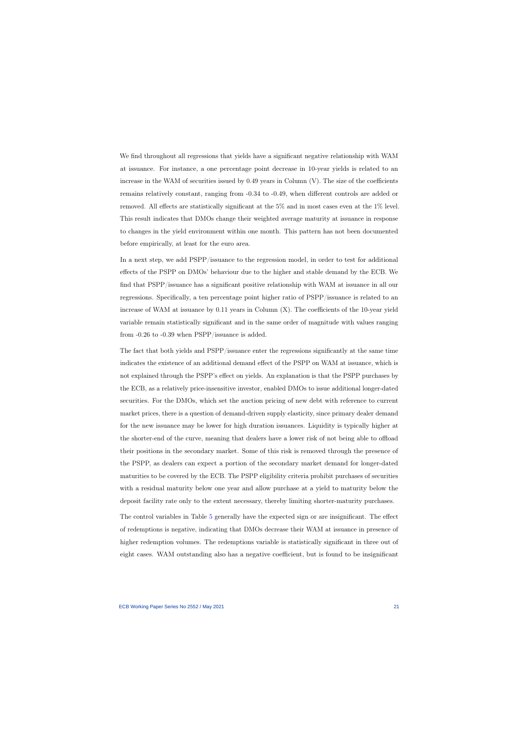We find throughout all regressions that yields have a significant negative relationship with WAM at issuance. For instance, a one percentage point decrease in 10-year yields is related to an increase in the WAM of securities issued by  $0.49$  years in Column  $(V)$ . The size of the coefficients remains relatively constant, ranging from -0.34 to -0.49, when different controls are added or removed. All effects are statistically significant at the 5% and in most cases even at the 1% level. This result indicates that DMOs change their weighted average maturity at issuance in response to changes in the yield environment within one month. This pattern has not been documented before empirically, at least for the euro area.

In a next step, we add PSPP/issuance to the regression model, in order to test for additional effects of the PSPP on DMOs' behaviour due to the higher and stable demand by the ECB. We find that PSPP/issuance has a significant positive relationship with WAM at issuance in all our regressions. Specifically, a ten percentage point higher ratio of PSPP/issuance is related to an increase of WAM at issuance by 0.11 years in Column (X). The coefficients of the 10-year yield variable remain statistically significant and in the same order of magnitude with values ranging from -0.26 to -0.39 when PSPP/issuance is added.

The fact that both yields and PSPP/issuance enter the regressions significantly at the same time indicates the existence of an additional demand effect of the PSPP on WAM at issuance, which is not explained through the PSPP's effect on yields. An explanation is that the PSPP purchases by the ECB, as a relatively price-insensitive investor, enabled DMOs to issue additional longer-dated securities. For the DMOs, which set the auction pricing of new debt with reference to current market prices, there is a question of demand-driven supply elasticity, since primary dealer demand for the new issuance may be lower for high duration issuances. Liquidity is typically higher at the shorter-end of the curve, meaning that dealers have a lower risk of not being able to offload their positions in the secondary market. Some of this risk is removed through the presence of the PSPP, as dealers can expect a portion of the secondary market demand for longer-dated maturities to be covered by the ECB. The PSPP eligibility criteria prohibit purchases of securities with a residual maturity below one year and allow purchase at a yield to maturity below the deposit facility rate only to the extent necessary, thereby limiting shorter-maturity purchases.

The control variables in Table [5](#page-23-0) generally have the expected sign or are insignificant. The effect of redemptions is negative, indicating that DMOs decrease their WAM at issuance in presence of higher redemption volumes. The redemptions variable is statistically significant in three out of eight cases. WAM outstanding also has a negative coefficient, but is found to be insignificant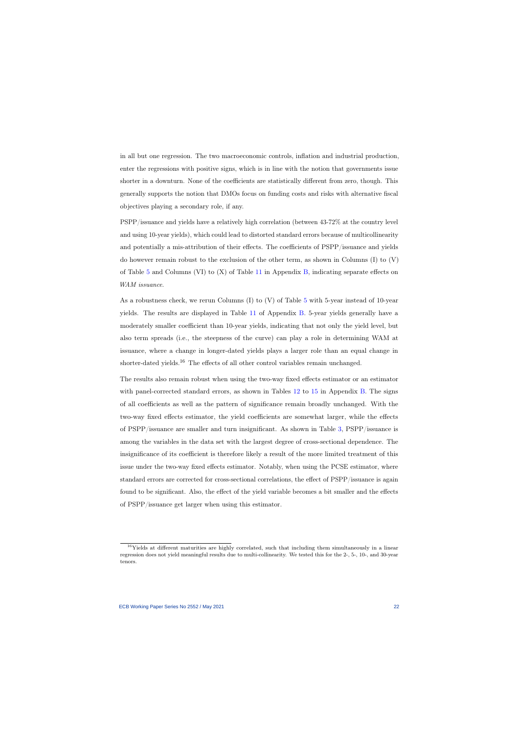in all but one regression. The two macroeconomic controls, inflation and industrial production, enter the regressions with positive signs, which is in line with the notion that governments issue shorter in a downturn. None of the coefficients are statistically different from zero, though. This generally supports the notion that DMOs focus on funding costs and risks with alternative fiscal objectives playing a secondary role, if any.

PSPP/issuance and yields have a relatively high correlation (between 43-72% at the country level and using 10-year yields), which could lead to distorted standard errors because of multicollinearity and potentially a mis-attribution of their effects. The coefficients of PSPP/issuance and yields do however remain robust to the exclusion of the other term, as shown in Columns (I) to (V) of Table [5](#page-23-0) and Columns (VI) to  $(X)$  of Table [11](#page-40-0) in Appendix [B,](#page-37-1) indicating separate effects on WAM issuance.

As a robustness check, we rerun Columns (I) to (V) of Table [5](#page-23-0) with 5-year instead of 10-year yields. The results are displayed in Table [11](#page-40-0) of Appendix [B.](#page-37-1) 5-year yields generally have a moderately smaller coefficient than 10-year yields, indicating that not only the yield level, but also term spreads (i.e., the steepness of the curve) can play a role in determining WAM at issuance, where a change in longer-dated yields plays a larger role than an equal change in shorter-dated yields.<sup>16</sup> The effects of all other control variables remain unchanged.

The results also remain robust when using the two-way fixed effects estimator or an estimator with panel-corrected standard errors, as shown in Tables [12](#page-41-0) to [15](#page-44-0) in Appendix [B.](#page-37-1) The signs of all coefficients as well as the pattern of significance remain broadly unchanged. With the two-way fixed effects estimator, the yield coefficients are somewhat larger, while the effects of PSPP/issuance are smaller and turn insignificant. As shown in Table [3,](#page-16-0) PSPP/issuance is among the variables in the data set with the largest degree of cross-sectional dependence. The insignificance of its coefficient is therefore likely a result of the more limited treatment of this issue under the two-way fixed effects estimator. Notably, when using the PCSE estimator, where standard errors are corrected for cross-sectional correlations, the effect of PSPP/issuance is again found to be significant. Also, the effect of the yield variable becomes a bit smaller and the effects of PSPP/issuance get larger when using this estimator.

<sup>&</sup>lt;sup>16</sup>Yields at different maturities are highly correlated, such that including them simultaneously in a linear regression does not yield meaningful results due to multi-collinearity. We tested this for the 2-, 5-, 10-, and 30-year tenors.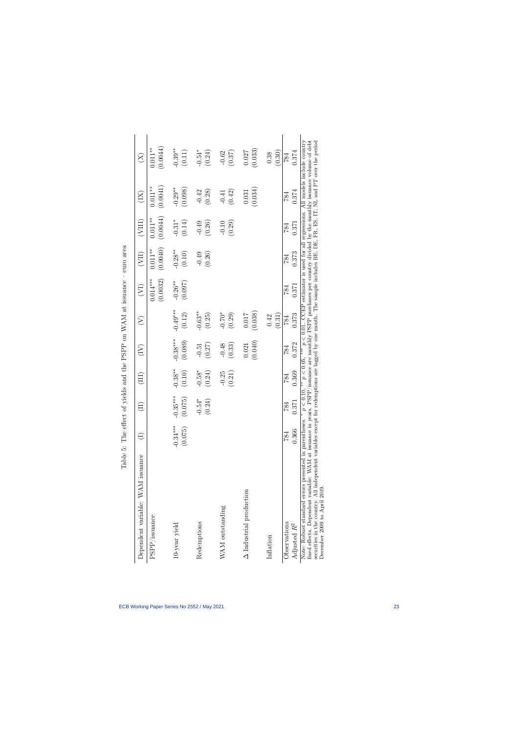<span id="page-23-0"></span>

| くろう くうきく<br>うしょうしょ                                                                                                      |
|-------------------------------------------------------------------------------------------------------------------------|
| $\overline{\phantom{a}}$                                                                                                |
| $\sim$ MAM at issuance -<br>ì                                                                                           |
|                                                                                                                         |
| -- FAPP ON WARE                                                                                                         |
|                                                                                                                         |
| ークバイ<br>$\frac{1}{2}$ $\frac{1}{2}$ $\frac{1}{2}$ $\frac{1}{2}$ $\frac{1}{2}$ $\frac{1}{2}$ $\frac{1}{2}$ $\frac{1}{2}$ |
|                                                                                                                         |
|                                                                                                                         |
| . ^^ affact of trialds and the P<br>j<br>$\frac{1}{2}$                                                                  |
|                                                                                                                         |
|                                                                                                                         |
|                                                                                                                         |
| ANNA OFF THREE<br>$\frac{1}{2}$<br>l<br>.<br>.<br>.                                                                     |

| Dependent variable: WAM issuance                                                                                                                                                                                                                                                                                                                                                                                                     |                       | $\Xi$                                          | Ë                    | $\widetilde{\Xi}$     | $\widehat{\succ}$                 | $\left(\sum_{i=1}^{n} x_i\right)$ | (III)                  | (VIII)                 | $\widetilde{\Xi}$      | $\widetilde{X}$                                                                                                                                       |
|--------------------------------------------------------------------------------------------------------------------------------------------------------------------------------------------------------------------------------------------------------------------------------------------------------------------------------------------------------------------------------------------------------------------------------------|-----------------------|------------------------------------------------|----------------------|-----------------------|-----------------------------------|-----------------------------------|------------------------|------------------------|------------------------|-------------------------------------------------------------------------------------------------------------------------------------------------------|
| PSPP/issuance                                                                                                                                                                                                                                                                                                                                                                                                                        |                       |                                                |                      |                       |                                   | $0.014***$<br>(0.0032)            | (0.0040)<br>$0.011***$ | (0.0044)<br>$0.011***$ | (0.0041)<br>$0.011***$ | (0.0044)<br>$0.011**$                                                                                                                                 |
| 10-year yield                                                                                                                                                                                                                                                                                                                                                                                                                        | $-0.34***$<br>(0.075) | $-0.35***$<br>(0.075)                          | $-0.38***$<br>(0.10) | $-0.38***$<br>(0.089) | $-0.49***$<br>$\left(0.12\right)$ | $-0.26**$<br>(0.097)              | $-0.28**$<br>(0.10)    | $-0.31*$<br>(0.14)     | $-0.29**$<br>(0.098)   | $-0.39***$<br>(0.11)                                                                                                                                  |
| Redemptions                                                                                                                                                                                                                                                                                                                                                                                                                          |                       | $0.54*$<br>$\widetilde{C}$<br>ု<br>$\subseteq$ | $-0.58*$<br>(0.24)   | (0.27)<br>$-0.51$     | $-0.63**$<br>(0.25)               |                                   | (0.26)<br>$-0.49$      | (0.26)<br>$-0.49$      | (0.28)<br>$-0.42$      | $-0.54*$<br>(0.24)                                                                                                                                    |
| WAM outstanding                                                                                                                                                                                                                                                                                                                                                                                                                      |                       |                                                | $-0.25$<br>(0.21)    | (0.33)<br>$-0.48$     | $-0.70*$<br>(0.29)                |                                   |                        | (0.29)<br>$-0.10$      | (0.42)<br>$-0.41$      | (0.37)<br>$-0.62$                                                                                                                                     |
| $\Delta$ Industrial production                                                                                                                                                                                                                                                                                                                                                                                                       |                       |                                                |                      | (0.040)<br>0.021      | (0.038)<br>0.017                  |                                   |                        |                        | (0.034)<br>0.031       | (0.033)<br>0.027                                                                                                                                      |
| Inflation                                                                                                                                                                                                                                                                                                                                                                                                                            |                       |                                                |                      |                       | (0.31)<br>0.42                    |                                   |                        |                        |                        | (0.30)<br>0.38                                                                                                                                        |
| Observations<br>Adjusted $R^2$                                                                                                                                                                                                                                                                                                                                                                                                       | 0.366<br>784          | 371<br>784                                     | 0.369<br>784         | 0.372<br>784          | 0.373<br>784                      | 0.371<br>784                      | 0.373<br>784           | 0.371<br>784           | 0.374<br>784           | 0.374<br>784                                                                                                                                          |
| fixed effects. Dependent variable: WAM at issuance in years. PSPP/issuance are monthly PSPP purchases per country divided by the monthly issuance volume of debt<br>securities in the country. All independent variables except for redemptions are lagged by one month. The sample includes BE, DE, FR, ES, IT, NL and PT over the period<br>Note: Robust standard errors presented in parentheses.<br>December 2009 to April 2019. |                       | $p < 0.10$ .                                   |                      |                       |                                   |                                   |                        |                        |                        | $\mu_{\rm s}$ $\mu_{\rm s}$ to $\mu_{\rm s}$ , $\mu_{\rm s}$ to $\sim 0.01$ . CHEP extension is used for all exists incomplete supposed in Section 1. |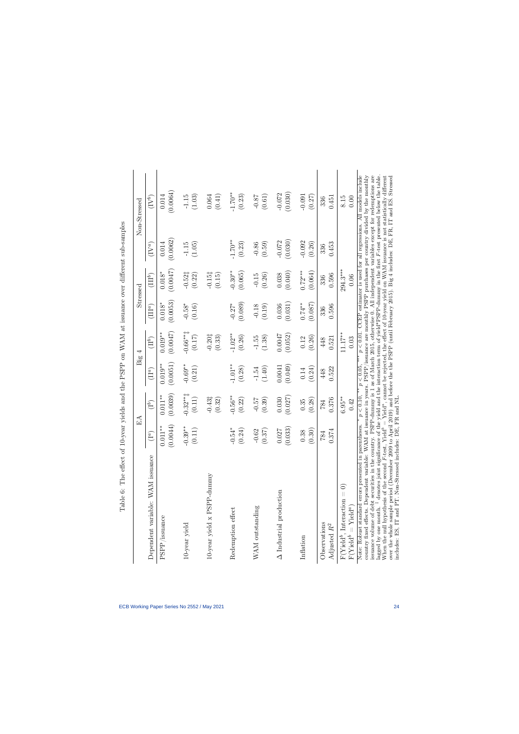<span id="page-24-0"></span>

|                                                                                                                                                                                                                                                                                                                                                                                                                                                                                                                                                                                                                                                                                                                                                                                                                                                                 |                   | $_{\rm EA}$               | Big               | 4                    |                   | $\rm{Stressed}$     |                   | Non-Stressed                                                                                                                                                                             |
|-----------------------------------------------------------------------------------------------------------------------------------------------------------------------------------------------------------------------------------------------------------------------------------------------------------------------------------------------------------------------------------------------------------------------------------------------------------------------------------------------------------------------------------------------------------------------------------------------------------------------------------------------------------------------------------------------------------------------------------------------------------------------------------------------------------------------------------------------------------------|-------------------|---------------------------|-------------------|----------------------|-------------------|---------------------|-------------------|------------------------------------------------------------------------------------------------------------------------------------------------------------------------------------------|
| Dependent variable: WAM issuance                                                                                                                                                                                                                                                                                                                                                                                                                                                                                                                                                                                                                                                                                                                                                                                                                                | $(1^a)$           | (1 <sup>b</sup> )         | $(II^a)$          | (III)                | $(III^a)$         | $(\Pi\mathbb{I}^b)$ | $(IV^a)$          | $(\mathrm{IV}^b)$                                                                                                                                                                        |
| $\ensuremath{\mathrm{PSPP}}\xspace/\mathrm{issue}$                                                                                                                                                                                                                                                                                                                                                                                                                                                                                                                                                                                                                                                                                                                                                                                                              | (0.0044)          | (0.0039)                  | (0.0051)          | $0.019**$            | (0.0053)          | (0.0047)            | (0.0062)          | (0.0064)                                                                                                                                                                                 |
|                                                                                                                                                                                                                                                                                                                                                                                                                                                                                                                                                                                                                                                                                                                                                                                                                                                                 | $0.011***$        | $0.011**$                 | $0.019**$         | (0.0047)             | $0.018*$          | $0.018^{\ast}$      | 0.014             | 0.014                                                                                                                                                                                    |
| 10-year yield                                                                                                                                                                                                                                                                                                                                                                                                                                                                                                                                                                                                                                                                                                                                                                                                                                                   | $-0.39***$        | $-0.32**$                 | $-0.69**$         | $-0.66**$            | $-0.58*$          | $-0.52\ddagger$     | (1.05)            | (1.03)                                                                                                                                                                                   |
|                                                                                                                                                                                                                                                                                                                                                                                                                                                                                                                                                                                                                                                                                                                                                                                                                                                                 | (0.11)            | (0.11)                    | (0.21)            | $(0.17)$             | (0.16)            | (0.22)              | $-1.15$           | $-1.15$                                                                                                                                                                                  |
| $10$ year yield $\ge$ PSPP-dummy                                                                                                                                                                                                                                                                                                                                                                                                                                                                                                                                                                                                                                                                                                                                                                                                                                |                   | $-0.43\ddagger$<br>(0.32) |                   | $-0.201$<br>(0.33)   |                   | $-0.151$<br>(0.15)  |                   | (0.41)<br>0.064                                                                                                                                                                          |
| Redemption effect                                                                                                                                                                                                                                                                                                                                                                                                                                                                                                                                                                                                                                                                                                                                                                                                                                               | $-0.54*$          | $-0.56**$                 | $-1.01***$        | $-1.02**$            | (0.089)           | $-0.30**$           | $-1.70**$         | $-1.70**$                                                                                                                                                                                |
|                                                                                                                                                                                                                                                                                                                                                                                                                                                                                                                                                                                                                                                                                                                                                                                                                                                                 | (0.24)            | (0.22)                    | (0.28)            | (0.26)               | $-0.27*$          | (0.065)             | (0.23)            | (0.23)                                                                                                                                                                                   |
| WAM outstanding                                                                                                                                                                                                                                                                                                                                                                                                                                                                                                                                                                                                                                                                                                                                                                                                                                                 | $-0.62$<br>(0.37) | (0.39)<br>$-0.57$         | $-1.54$<br>(1.40) | $-1.55$<br>(1.38)    | $-0.18$<br>(0.19) | $-0.15$<br>(0.26)   | (0.59)<br>$-0.86$ | (0.61)<br>$-0.87$                                                                                                                                                                        |
| $\Delta$ Industrial production                                                                                                                                                                                                                                                                                                                                                                                                                                                                                                                                                                                                                                                                                                                                                                                                                                  | (0.033)           | (0.027)                   | (0.049)           | 0.0047               | (0.031)           | (0.040)             | (0.030)           | (0.030)                                                                                                                                                                                  |
|                                                                                                                                                                                                                                                                                                                                                                                                                                                                                                                                                                                                                                                                                                                                                                                                                                                                 | 0.027             | 0.030                     | 0.0041            | (0.052)              | 0.036             | 0.038               | $-0.072$          | $-0.072$                                                                                                                                                                                 |
| Inflation                                                                                                                                                                                                                                                                                                                                                                                                                                                                                                                                                                                                                                                                                                                                                                                                                                                       | (0.30)            | (0.28)                    | (0.24)            | (0.26)               | (0.087)           | $0.72***$           | $-0.092$          | $-0.091$                                                                                                                                                                                 |
|                                                                                                                                                                                                                                                                                                                                                                                                                                                                                                                                                                                                                                                                                                                                                                                                                                                                 | $0.38\,$          | 0.35                      | 0.14              | $0.12\,$             | $0.74***$         | (0.064)             | (0.26)            | (0.27)                                                                                                                                                                                   |
| Observations                                                                                                                                                                                                                                                                                                                                                                                                                                                                                                                                                                                                                                                                                                                                                                                                                                                    | 0.374             | 0.376                     | 0.522             | 0.521                | 0.596             | 0.596               | 0.453             | 0.451                                                                                                                                                                                    |
| Adjusted $R^2$                                                                                                                                                                                                                                                                                                                                                                                                                                                                                                                                                                                                                                                                                                                                                                                                                                                  | 784               | 784                       | 448               | 448                  | 336               | 336                 | 336               | 336                                                                                                                                                                                      |
| $F(Yield^b, Interaction = 0)$<br>$F(Yield^b = Yield^a)$                                                                                                                                                                                                                                                                                                                                                                                                                                                                                                                                                                                                                                                                                                                                                                                                         |                   | $6.95***$<br>0.42         |                   | $11.17***$<br>$0.03$ |                   | $294.3***$<br>0.06  |                   | 8.15<br>0.00                                                                                                                                                                             |
| lagged by one month. <sup>‡</sup> denotes joint significance of the yield and the interaction term of yield*PSPP-dummy in the first $F$ -test presented below the table.<br>When the null hypothesis of the second $F$ -test, Yield <sup>6</sup> = Yield <sup>6</sup> , cannot be rejected, the effect of 10-year yield on WAM issuance is not statistically different<br>issuance volume of debt securities in the country. PSPP-dummy is 1 as of March 2015, otherwise 0. All independent variables except for redemptions are<br>country fixed effects. Dependent variable: WAM at issuance in years. PSPP/issuance are monthly PSPP purchases per country divided by the monthly<br>includes: ES, IT and PT. Non-Stressed includes: DE, FR and NL.<br>Note: Robust standard errors presented in parentheses.<br>over the whole sample period (December 2009 |                   | p < 0.10,                 | $p < 0.05$ .      |                      |                   |                     |                   | $p < 0.01$ . CCEP estimator is used for all regressions. All models include<br>to April 2019) and before the the PSPP (until February 2015). Big 4 includes: DE, FR, IT and ES. Stressed |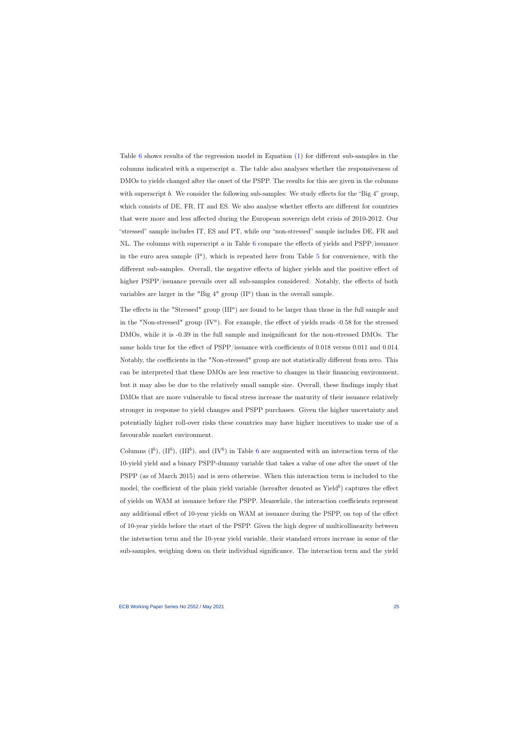Table [6](#page-24-0) shows results of the regression model in Equation [\(1\)](#page-18-0) for different sub-samples in the columns indicated with a superscript a. The table also analyses whether the responsiveness of DMOs to yields changed after the onset of the PSPP. The results for this are given in the columns with superscript b. We consider the following sub-samples: We study effects for the "Big 4" group, which consists of DE, FR, IT and ES. We also analyse whether effects are different for countries that were more and less affected during the European sovereign debt crisis of 2010-2012. Our "stressed" sample includes IT, ES and PT, while our "non-stressed" sample includes DE, FR and NL. The columns with superscript a in Table [6](#page-24-0) compare the effects of yields and  $\text{PSPP}/\text{issuance}$ in the euro area sample  $(I^a)$ , which is repeated here from Table [5](#page-23-0) for convenience, with the different sub-samples. Overall, the negative effects of higher yields and the positive effect of higher PSPP/issuance prevails over all sub-samples considered. Notably, the effects of both variables are larger in the "Big  $4$ " group  $(II^a)$  than in the overall sample.

The effects in the "Stressed" group  $(III^a)$  are found to be larger than those in the full sample and in the "Non-stressed" group  $(IV^a)$ . For example, the effect of yields reads -0.58 for the stressed DMOs, while it is -0.39 in the full sample and insignificant for the non-stressed DMOs. The same holds true for the effect of PSPP/issuance with coefficients of 0.018 versus 0.011 and 0.014. Notably, the coefficients in the "Non-stressed" group are not statistically different from zero. This can be interpreted that these DMOs are less reactive to changes in their financing environment, but it may also be due to the relatively small sample size. Overall, these findings imply that DMOs that are more vulnerable to fiscal stress increase the maturity of their issuance relatively stronger in response to yield changes and PSPP purchases. Given the higher uncertainty and potentially higher roll-over risks these countries may have higher incentives to make use of a favourable market environment.

Columns  $(I^b)$ ,  $(II^b)$ ,  $(III^b)$ , and  $(IV^b)$  in Table [6](#page-24-0) are augmented with an interaction term of the 10-yield yield and a binary PSPP-dummy variable that takes a value of one after the onset of the PSPP (as of March 2015) and is zero otherwise. When this interaction term is included to the model, the coefficient of the plain yield variable (hereafter denoted as Yield<sup>b</sup>) captures the effect of yields on WAM at issuance before the PSPP. Meanwhile, the interaction coefficients represent any additional effect of 10-year yields on WAM at issuance during the PSPP, on top of the effect of 10-year yields before the start of the PSPP. Given the high degree of multicollinearity between the interaction term and the 10-year yield variable, their standard errors increase in some of the sub-samples, weighing down on their individual significance. The interaction term and the yield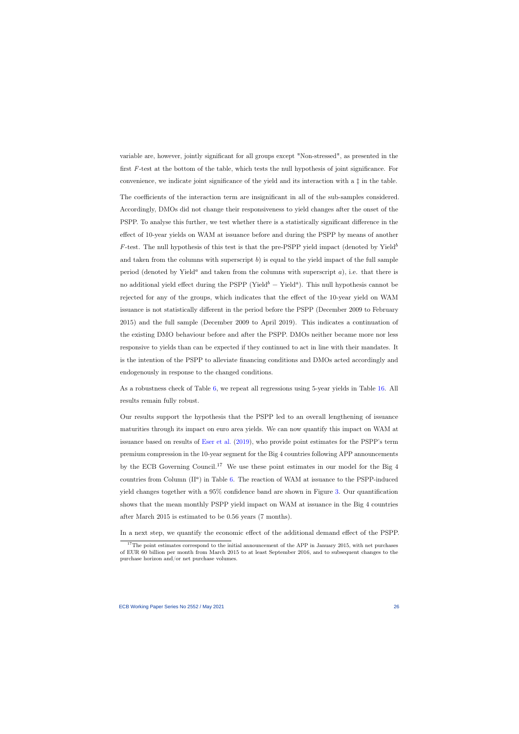variable are, however, jointly significant for all groups except "Non-stressed", as presented in the first F-test at the bottom of the table, which tests the null hypothesis of joint significance. For convenience, we indicate joint significance of the yield and its interaction with a ‡ in the table.

The coefficients of the interaction term are insignificant in all of the sub-samples considered. Accordingly, DMOs did not change their responsiveness to yield changes after the onset of the PSPP. To analyse this further, we test whether there is a statistically significant difference in the effect of 10-year yields on WAM at issuance before and during the PSPP by means of another F-test. The null hypothesis of this test is that the pre-PSPP yield impact (denoted by Yield $^b$ ) and taken from the columns with superscript  $b$ ) is equal to the yield impact of the full sample period (denoted by Yield<sup>a</sup> and taken from the columns with superscript a), i.e. that there is no additional yield effect during the PSPP (Yield<sup>b</sup> = Yield<sup>a</sup>). This null hypothesis cannot be rejected for any of the groups, which indicates that the effect of the 10-year yield on WAM issuance is not statistically different in the period before the PSPP (December 2009 to February 2015) and the full sample (December 2009 to April 2019). This indicates a continuation of the existing DMO behaviour before and after the PSPP. DMOs neither became more nor less responsive to yields than can be expected if they continued to act in line with their mandates. It is the intention of the PSPP to alleviate financing conditions and DMOs acted accordingly and endogenously in response to the changed conditions.

As a robustness check of Table [6,](#page-24-0) we repeat all regressions using 5-year yields in Table [16.](#page-45-0) All results remain fully robust.

Our results support the hypothesis that the PSPP led to an overall lengthening of issuance maturities through its impact on euro area yields. We can now quantify this impact on WAM at issuance based on results of [Eser et al.](#page-31-1) [\(2019\)](#page-31-1), who provide point estimates for the PSPP's term premium compression in the 10-year segment for the Big 4 countries following APP announcements by the ECB Governing Council.<sup>17</sup> We use these point estimates in our model for the Big 4 countries from Column  $(II^a)$  in Table [6.](#page-24-0) The reaction of WAM at issuance to the PSPP-induced yield changes together with a 95% confidence band are shown in Figure [3.](#page-27-0) Our quantification shows that the mean monthly PSPP yield impact on WAM at issuance in the Big 4 countries after March 2015 is estimated to be 0.56 years (7 months).

In a next step, we quantify the economic effect of the additional demand effect of the PSPP.

<sup>&</sup>lt;sup>17</sup>The point estimates correspond to the initial announcement of the APP in January 2015, with net purchases of EUR 60 billion per month from March 2015 to at least September 2016, and to subsequent changes to the purchase horizon and/or net purchase volumes.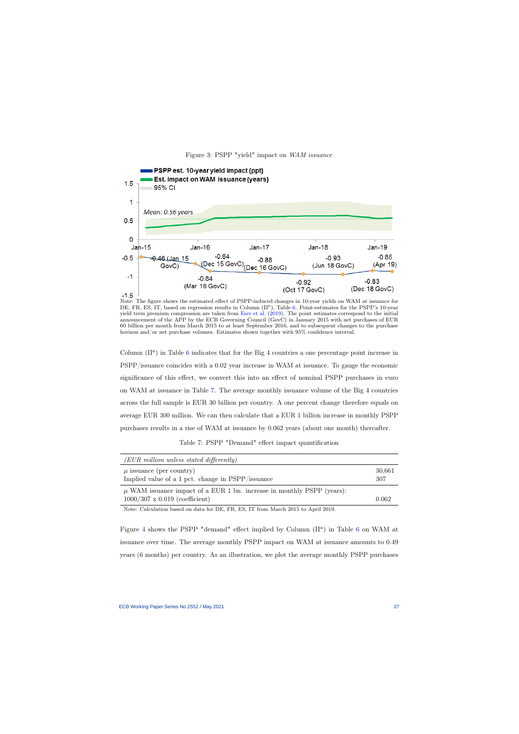



<span id="page-27-0"></span>Note: The figure shows the estimated effect of PSPP-induced changes in 10-year yields on WAM at issuance for DE, FR, ES, IT, based on regression results in Column  $(II^a)$ , Table [6.](#page-24-0) Point-estimates for the PSPP's 10-year yield term premium compression are taken from [Eser et al.](#page-31-1) [\(2019\)](#page-31-1). The point estimates correspond to the initial announcement of the APP by the ECB Governing Council (GovC) in January 2015 with net purchases of EUR 60 billion per month from March 2015 to at least September 2016, and to subsequent changes to the purchase horizon and/or net purchase volumes. Estimates shown together with 95% confidence interval.

Column  $(II^a)$  in Table [6](#page-24-0) indicates that for the Big 4 countries a one percentage point increase in PSPP/issuance coincides with a 0.02 year increase in WAM at issuance. To gauge the economic significance of this effect, we convert this into an effect of nominal PSPP purchases in euro on WAM at issuance in Table [7.](#page-27-1) The average monthly issuance volume of the Big 4 countries across the full sample is EUR 30 billion per country. A one percent change therefore equals on average EUR 300 million. We can then calculate that a EUR 1 billion increase in monthly PSPP purchases results in a rise of WAM at issuance by 0.062 years (about one month) thereafter.

Table 7: PSPP "Demand" effect impact quantification

| (EUR million unless stated differently)                                                                             |               |
|---------------------------------------------------------------------------------------------------------------------|---------------|
| $\mu$ issuance (per country)<br>Implied value of a 1 pct. change in PSPP/issuance                                   | 30,661<br>307 |
| $\mu$ WAM issuance impact of a EUR 1 bn. increase in monthly PSPP (years):<br>$1000/307 \times 0.019$ (coefficient) | 0.062         |

Note: Calculation based on data for DE, FR, ES, IT from March 2015 to April 2019.

<span id="page-27-1"></span>Figure [4](#page-28-1) shows the PSPP "demand" effect implied by Column  $(II^a)$  in Table [6](#page-24-0) on WAM at issuance over time. The average monthly PSPP impact on WAM at issuance amounts to 0.49 years (6 months) per country. As an illustration, we plot the average monthly PSPP purchases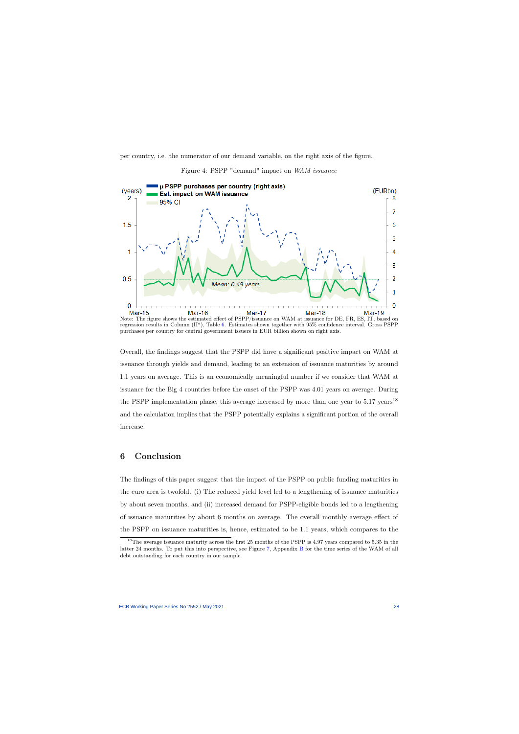per country, i.e. the numerator of our demand variable, on the right axis of the figure.



Figure 4: PSPP "demand" impact on WAM issuance

<span id="page-28-1"></span>Note: The figure shows the estimated effect of PSPP/issuance on WAM at issuance for DE, FR, ES, IT, based on regression results in Column (II<sup>a</sup>), Table [6.](#page-24-0) Estimates shown together with 95% confidence interval. Gross PSPP purchases per country for central government issuers in EUR billion shown on right axis.

Overall, the findings suggest that the PSPP did have a significant positive impact on WAM at issuance through yields and demand, leading to an extension of issuance maturities by around 1.1 years on average. This is an economically meaningful number if we consider that WAM at issuance for the Big 4 countries before the onset of the PSPP was 4.01 years on average. During the PSPP implementation phase, this average increased by more than one year to  $5.17 \text{ years}^{18}$ and the calculation implies that the PSPP potentially explains a significant portion of the overall increase.

### 6 Conclusion

The findings of this paper suggest that the impact of the PSPP on public funding maturities in the euro area is twofold. (i) The reduced yield level led to a lengthening of issuance maturities by about seven months, and (ii) increased demand for PSPP-eligible bonds led to a lengthening of issuance maturities by about 6 months on average. The overall monthly average effect of the PSPP on issuance maturities is, hence, estimated to be 1.1 years, which compares to the

<span id="page-28-0"></span><sup>&</sup>lt;sup>18</sup>The average issuance maturity across the first 25 months of the PSPP is 4.97 years compared to 5.35 in the latter 24 months. To put this into perspective, see Figure [7,](#page-39-0) Appendix [B](#page-37-1) for the time series of the WAM of all debt outstanding for each country in our sample.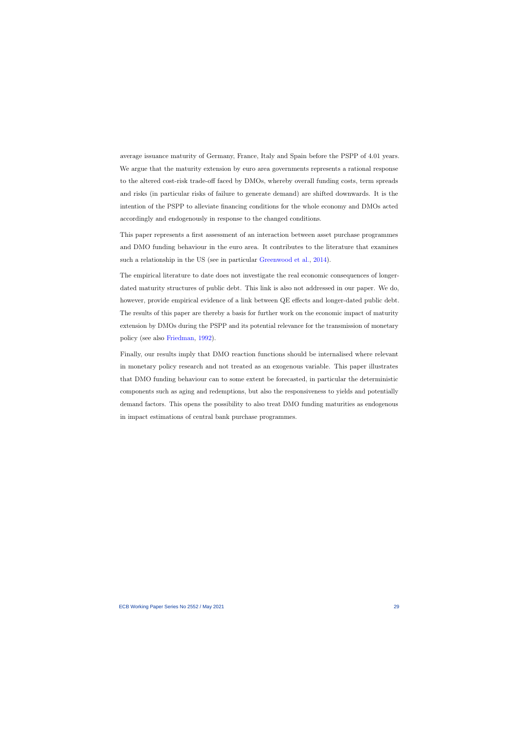average issuance maturity of Germany, France, Italy and Spain before the PSPP of 4.01 years. We argue that the maturity extension by euro area governments represents a rational response to the altered cost-risk trade-off faced by DMOs, whereby overall funding costs, term spreads and risks (in particular risks of failure to generate demand) are shifted downwards. It is the intention of the PSPP to alleviate financing conditions for the whole economy and DMOs acted accordingly and endogenously in response to the changed conditions.

This paper represents a first assessment of an interaction between asset purchase programmes and DMO funding behaviour in the euro area. It contributes to the literature that examines such a relationship in the US (see in particular [Greenwood et al.,](#page-31-6) [2014\)](#page-31-6).

The empirical literature to date does not investigate the real economic consequences of longerdated maturity structures of public debt. This link is also not addressed in our paper. We do, however, provide empirical evidence of a link between QE effects and longer-dated public debt. The results of this paper are thereby a basis for further work on the economic impact of maturity extension by DMOs during the PSPP and its potential relevance for the transmission of monetary policy (see also [Friedman,](#page-31-8) [1992\)](#page-31-8).

Finally, our results imply that DMO reaction functions should be internalised where relevant in monetary policy research and not treated as an exogenous variable. This paper illustrates that DMO funding behaviour can to some extent be forecasted, in particular the deterministic components such as aging and redemptions, but also the responsiveness to yields and potentially demand factors. This opens the possibility to also treat DMO funding maturities as endogenous in impact estimations of central bank purchase programmes.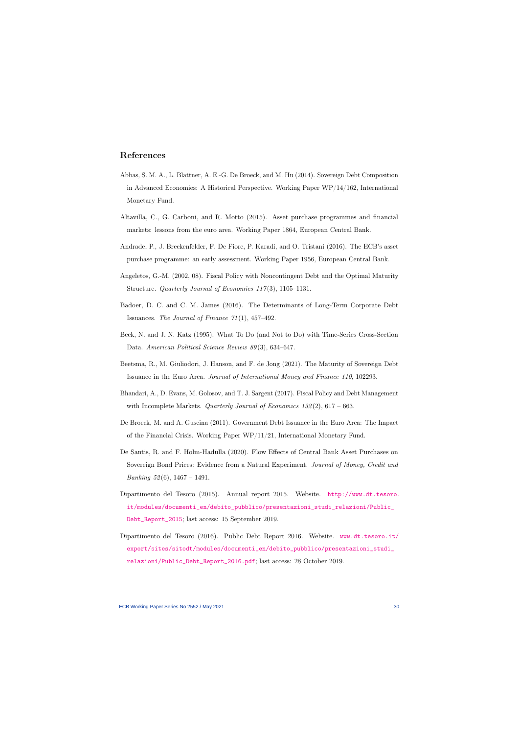### References

- Abbas, S. M. A., L. Blattner, A. E.-G. De Broeck, and M. Hu (2014). Sovereign Debt Composition in Advanced Economies: A Historical Perspective. Working Paper  $WP/14/162$ , International Monetary Fund.
- Altavilla, C., G. Carboni, and R. Motto (2015). Asset purchase programmes and financial markets: lessons from the euro area. Working Paper 1864, European Central Bank.
- Andrade, P., J. Breckenfelder, F. De Fiore, P. Karadi, and O. Tristani (2016). The ECB's asset purchase programme: an early assessment. Working Paper 1956, European Central Bank.
- <span id="page-30-7"></span>Angeletos, G.-M. (2002, 08). Fiscal Policy with Noncontingent Debt and the Optimal Maturity Structure. Quarterly Journal of Economics 117(3), 1105–1131.
- <span id="page-30-0"></span>Badoer, D. C. and C. M. James (2016). The Determinants of Long-Term Corporate Debt Issuances. The Journal of Finance  $71(1)$ , 457-492.
- <span id="page-30-1"></span>Beck, N. and J. N. Katz (1995). What To Do (and Not to Do) with Time-Series Cross-Section Data. American Political Science Review 89(3), 634–647.
- <span id="page-30-5"></span>Beetsma, R., M. Giuliodori, J. Hanson, and F. de Jong (2021). The Maturity of Sovereign Debt Issuance in the Euro Area. Journal of International Money and Finance 110, 102293.
- <span id="page-30-4"></span>Bhandari, A., D. Evans, M. Golosov, and T. J. Sargent (2017). Fiscal Policy and Debt Management with Incomplete Markets. Quarterly Journal of Economics  $132(2)$ , 617 – 663.
- <span id="page-30-11"></span>De Broeck, M. and A. Guscina (2011). Government Debt Issuance in the Euro Area: The Impact of the Financial Crisis. Working Paper WP/11/21, International Monetary Fund.
- <span id="page-30-9"></span>De Santis, R. and F. Holm-Hadulla (2020). Flow Effects of Central Bank Asset Purchases on Sovereign Bond Prices: Evidence from a Natural Experiment. Journal of Money, Credit and *Banking* 52(6),  $1467 - 1491$ .
- <span id="page-30-6"></span>Dipartimento del Tesoro (2015). Annual report 2015. Website. [http://www.dt.tesoro.](http://www.dt.tesoro.it/modules/documenti_en/debito_pubblico/ presentazioni_studi_relazioni/Public_Debt_Report_2015) [it/modules/documenti\\_en/debito\\_pubblico/presentazioni\\_studi\\_relazioni/Public\\_](http://www.dt.tesoro.it/modules/documenti_en/debito_pubblico/ presentazioni_studi_relazioni/Public_Debt_Report_2015) [Debt\\_Report\\_2015](http://www.dt.tesoro.it/modules/documenti_en/debito_pubblico/ presentazioni_studi_relazioni/Public_Debt_Report_2015); last access: 15 September 2019.
- <span id="page-30-10"></span><span id="page-30-8"></span><span id="page-30-3"></span><span id="page-30-2"></span>Dipartimento del Tesoro (2016). Public Debt Report 2016. Website. [www.dt.tesoro.it/](www.dt.tesoro.it/export/sites/sitodt/modules/documenti_en/debito_pubblico/presentazioni_studi_relazioni/Public_Debt_Report_2016.pdf) [export/sites/sitodt/modules/documenti\\_en/debito\\_pubblico/presentazioni\\_studi\\_](www.dt.tesoro.it/export/sites/sitodt/modules/documenti_en/debito_pubblico/presentazioni_studi_relazioni/Public_Debt_Report_2016.pdf) [relazioni/Public\\_Debt\\_Report\\_2016.pdf](www.dt.tesoro.it/export/sites/sitodt/modules/documenti_en/debito_pubblico/presentazioni_studi_relazioni/Public_Debt_Report_2016.pdf); last access: 28 October 2019.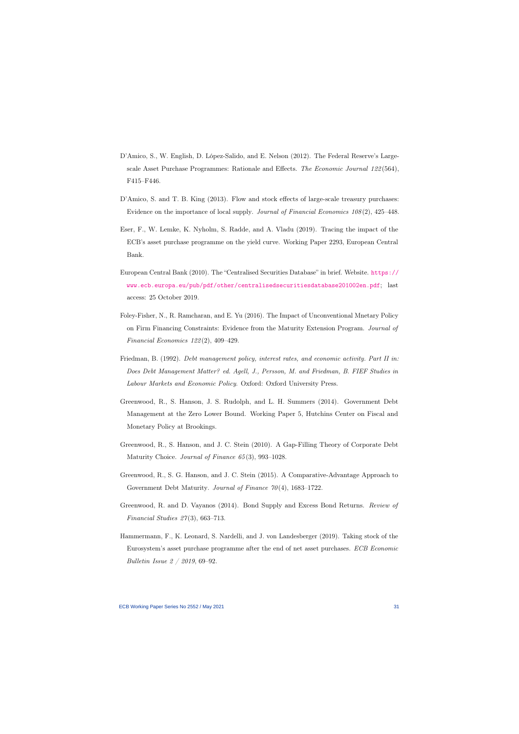- D'Amico, S., W. English, D. López-Salido, and E. Nelson (2012). The Federal Reserve's Largescale Asset Purchase Programmes: Rationale and Effects. The Economic Journal 122 (564), F415–F446.
- D'Amico, S. and T. B. King (2013). Flow and stock effects of large-scale treasury purchases: Evidence on the importance of local supply. Journal of Financial Economics 108 (2), 425–448.
- Eser, F., W. Lemke, K. Nyholm, S. Radde, and A. Vladu (2019). Tracing the impact of the ECB's asset purchase programme on the yield curve. Working Paper 2293, European Central Bank.
- <span id="page-31-2"></span>European Central Bank (2010). The "Centralised Securities Database" in brief. Website. [https://](https://www.ecb.europa.eu/pub/pdf/other/centralisedsecuritiesdatabase201002en.pdf) [www.ecb.europa.eu/pub/pdf/other/centralisedsecuritiesdatabase201002en.pdf](https://www.ecb.europa.eu/pub/pdf/other/centralisedsecuritiesdatabase201002en.pdf); last access: 25 October 2019.
- <span id="page-31-3"></span><span id="page-31-1"></span>Foley-Fisher, N., R. Ramcharan, and E. Yu (2016). The Impact of Unconventional Mnetary Policy on Firm Financing Constraints: Evidence from the Maturity Extension Program. Journal of Financial Economics 122 (2), 409–429.
- <span id="page-31-9"></span>Friedman, B. (1992). *Debt management policy, interest rates, and economic activity. Part II in:* Does Debt Management Matter? ed. Agell, J., Persson, M. and Friedman, B. FIEF Studies in Labour Markets and Economic Policy. Oxford: Oxford University Press.
- <span id="page-31-5"></span>Greenwood, R., S. Hanson, J. S. Rudolph, and L. H. Summers (2014). Government Debt Management at the Zero Lower Bound. Working Paper 5, Hutchins Center on Fiscal and Monetary Policy at Brookings.
- <span id="page-31-8"></span>Greenwood, R., S. Hanson, and J. C. Stein (2010). A Gap-Filling Theory of Corporate Debt Maturity Choice. Journal of Finance 65 (3), 993–1028.
- Greenwood, R., S. G. Hanson, and J. C. Stein (2015). A Comparative-Advantage Approach to Government Debt Maturity. Journal of Finance 70(4), 1683-1722.
- <span id="page-31-6"></span>Greenwood, R. and D. Vayanos (2014). Bond Supply and Excess Bond Returns. Review of Financial Studies  $27(3)$ , 663-713.
- <span id="page-31-10"></span><span id="page-31-7"></span><span id="page-31-4"></span><span id="page-31-0"></span>Hammermann, F., K. Leonard, S. Nardelli, and J. von Landesberger (2019). Taking stock of the Eurosystem's asset purchase programme after the end of net asset purchases. ECB Economic Bulletin Issue 2 / 2019, 69–92.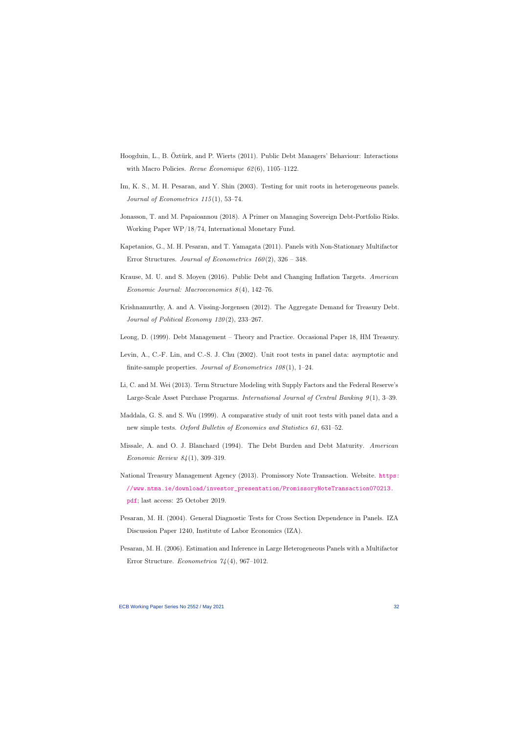- Hoogduin, L., B. Öztürk, and P. Wierts (2011). Public Debt Managers' Behaviour: Interactions with Macro Policies. Revue Économique 62(6), 1105–1122.
- Im, K. S., M. H. Pesaran, and Y. Shin (2003). Testing for unit roots in heterogeneous panels. Journal of Econometrics  $115(1)$ , 53-74.
- Jonasson, T. and M. Papaioannou (2018). A Primer on Managing Sovereign Debt-Portfolio Risks. Working Paper WP/18/74, International Monetary Fund.
- <span id="page-32-6"></span>Kapetanios, G., M. H. Pesaran, and T. Yamagata (2011). Panels with Non-Stationary Multifactor Error Structures. Journal of Econometrics  $160(2)$ ,  $326 - 348$ .
- <span id="page-32-10"></span>Krause, M. U. and S. Moyen (2016). Public Debt and Changing Inflation Targets. American Economic Journal: Macroeconomics 8 (4), 142–76.
- <span id="page-32-7"></span>Krishnamurthy, A. and A. Vissing-Jorgensen (2012). The Aggregate Demand for Treasury Debt. Journal of Political Economy 120 (2), 233–267.
- Leong, D. (1999). Debt Management Theory and Practice. Occasional Paper 18, HM Treasury.
- <span id="page-32-13"></span>Levin, A., C.-F. Lin, and C.-S. J. Chu (2002). Unit root tests in panel data: asymptotic and finite-sample properties. Journal of Econometrics  $108(1)$ , 1–24.
- <span id="page-32-4"></span>Li, C. and M. Wei (2013). Term Structure Modeling with Supply Factors and the Federal Reserve's Large-Scale Asset Purchase Progarms. International Journal of Central Banking 9 (1), 3–39.
- <span id="page-32-2"></span>Maddala, G. S. and S. Wu (1999). A comparative study of unit root tests with panel data and a new simple tests. Oxford Bulletin of Economics and Statistics 61, 631–52.
- <span id="page-32-11"></span><span id="page-32-3"></span>Missale, A. and O. J. Blanchard (1994). The Debt Burden and Debt Maturity. American Economic Review 84 (1), 309–319.
- <span id="page-32-0"></span>National Treasury Management Agency (2013). Promissory Note Transaction. Website. [https:](https://www.ntma.ie/download/investor_presentation/PromissoryNoteTransaction070213.pdf) [//www.ntma.ie/download/investor\\_presentation/PromissoryNoteTransaction070213.](https://www.ntma.ie/download/investor_presentation/PromissoryNoteTransaction070213.pdf) [pdf](https://www.ntma.ie/download/investor_presentation/PromissoryNoteTransaction070213.pdf); last access: 25 October 2019.
- <span id="page-32-12"></span>Pesaran, M. H. (2004). General Diagnostic Tests for Cross Section Dependence in Panels. IZA Discussion Paper 1240, Institute of Labor Economics (IZA).
- <span id="page-32-9"></span><span id="page-32-8"></span><span id="page-32-5"></span><span id="page-32-1"></span>Pesaran, M. H. (2006). Estimation and Inference in Large Heterogeneous Panels with a Multifactor Error Structure. *Econometrica*  $74(4)$ , 967–1012.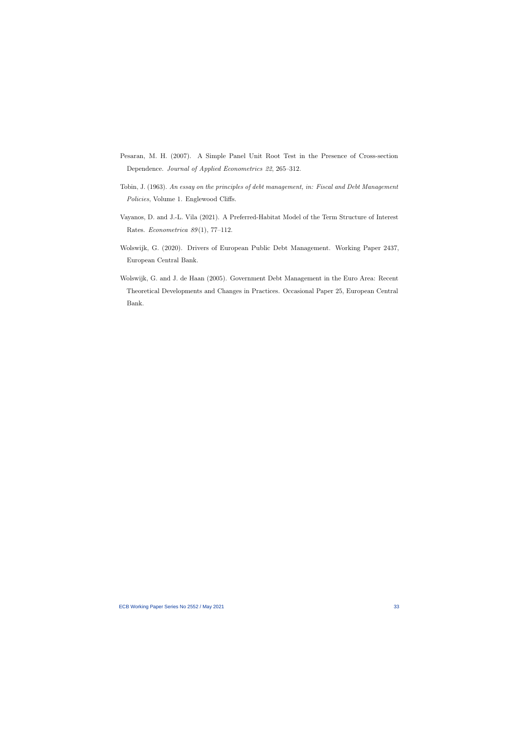- Pesaran, M. H. (2007). A Simple Panel Unit Root Test in the Presence of Cross-section Dependence. Journal of Applied Econometrics 22, 265–312.
- Tobin, J. (1963). An essay on the principles of debt management, in: Fiscal and Debt Management Policies, Volume 1. Englewood Cliffs.
- Vayanos, D. and J.-L. Vila (2021). A Preferred-Habitat Model of the Term Structure of Interest Rates. *Econometrica* 89(1), 77-112.
- <span id="page-33-4"></span>Wolswijk, G. (2020). Drivers of European Public Debt Management. Working Paper 2437, European Central Bank.
- <span id="page-33-3"></span><span id="page-33-2"></span><span id="page-33-1"></span><span id="page-33-0"></span>Wolswijk, G. and J. de Haan (2005). Government Debt Management in the Euro Area: Recent Theoretical Developments and Changes in Practices. Occasional Paper 25, European Central Bank.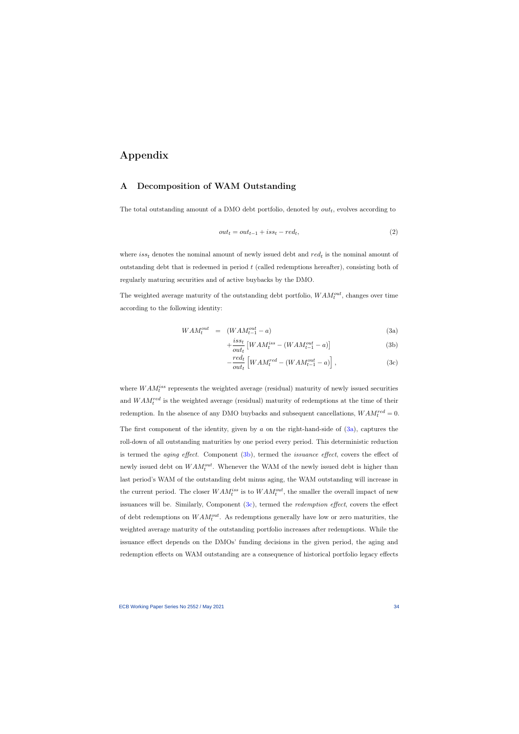# Appendix

### A Decomposition of WAM Outstanding

The total outstanding amount of a DMO debt portfolio, denoted by  $out_t$ , evolves according to

$$
out_t = out_{t-1} + iss_t - red_t,
$$
\n<sup>(2)</sup>

where  $iss_t$  denotes the nominal amount of newly issued debt and  $red_t$  is the nominal amount of outstanding debt that is redeemed in period t (called redemptions hereafter), consisting both of regularly maturing securities and of active buybacks by the DMO.

<span id="page-34-0"></span>The weighted average maturity of the outstanding debt portfolio,  $WAM_t^{out}$ , changes over time according to the following identity:

$$
WAM_t^{out} = (WAM_{t-1}^{out} - a)
$$
\n(3a)

$$
+\frac{iss_t}{out_t} \left[ WAM_t^{iss} - (WAM_{t-1}^{out} - a) \right]
$$
 (3b)

$$
-\frac{red_t}{out_t} \left[ WAM_t^{red} - (WAM_{t-1}^{out} - a) \right], \tag{3c}
$$

<span id="page-34-2"></span><span id="page-34-1"></span>where  $WAM_t^{iss}$  represents the weighted average (residual) maturity of newly issued securities and  $WAM_t^{red}$  is the weighted average (residual) maturity of redemptions at the time of their redemption. In the absence of any DMO buybacks and subsequent cancellations,  $WAM_t^{red} = 0$ . The first component of the identity, given by a on the right-hand-side of  $(3a)$ , captures the roll-down of all outstanding maturities by one period every period. This deterministic reduction is termed the *aging effect*. Component  $(3b)$ , termed the *issuance effect*, covers the effect of newly issued debt on  $WAM_t^{out}$ . Whenever the WAM of the newly issued debt is higher than last period's WAM of the outstanding debt minus aging, the WAM outstanding will increase in the current period. The closer  $WAM_t^{iss}$  is to  $WAM_t^{out}$ , the smaller the overall impact of new issuances will be. Similarly, Component  $(3c)$ , termed the *redemption effect*, covers the effect of debt redemptions on  $WAM_t^{out}$ . As redemptions generally have low or zero maturities, the weighted average maturity of the outstanding portfolio increases after redemptions. While the issuance effect depends on the DMOs' funding decisions in the given period, the aging and redemption effects on WAM outstanding are a consequence of historical portfolio legacy effects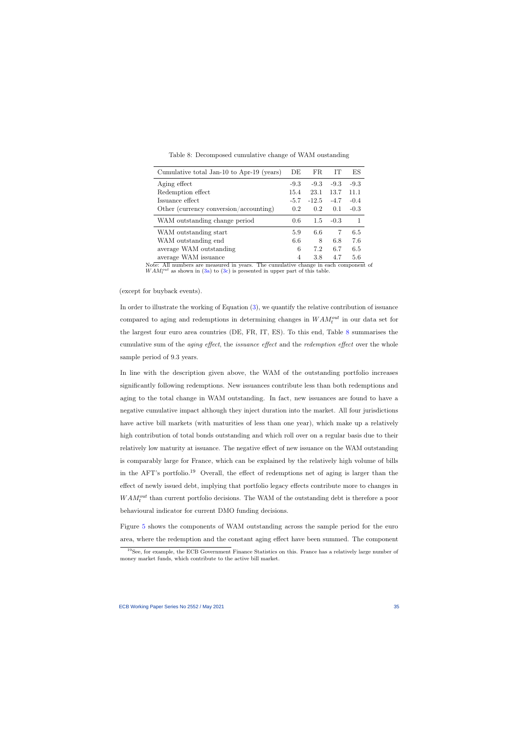| Cumulative total Jan-10 to Apr-19 (years) | DE     | FR      | TТ     | ES     |
|-------------------------------------------|--------|---------|--------|--------|
| Aging effect                              | $-9.3$ | $-9.3$  | $-9.3$ | $-9.3$ |
| Redemption effect                         | 15.4   | 23.1    | 13.7   | 11.1   |
| Issuance effect                           | $-5.7$ | $-12.5$ | $-4.7$ | $-0.4$ |
| Other (currency conversion/accounting)    | 0.2    | 0.2     | 0.1    | $-0.3$ |
| WAM outstanding change period             | 0.6    | 1.5     | $-0.3$ |        |
| WAM outstanding start                     | 5.9    | 6.6     | 7      | 6.5    |
| WAM outstanding end                       | 6.6    | 8       | 6.8    | 7.6    |
| average WAM outstanding                   | 6      | 7.2     | 6.7    | 6.5    |
| average WAM issuance                      | 4      | 3.8     | 4.7    | 5.6    |

Table 8: Decomposed cumulative change of WAM oustanding

Note: All numbers are measured in years. The cumulative change in each component of  $WAM_t^{out}$  as shown in [\(3a\)](#page-34-1) to [\(3c\)](#page-34-1) is presented in upper part of this table.

<span id="page-35-0"></span>(except for buyback events).

In order to illustrate the working of Equation [\(3\)](#page-34-2), we quantify the relative contribution of issuance compared to aging and redemptions in determining changes in  $WAM_t^{out}$  in our data set for the largest four euro area countries (DE, FR, IT, ES). To this end, Table [8](#page-35-0) summarises the cumulative sum of the aging effect, the issuance effect and the redemption effect over the whole sample period of 9.3 years.

In line with the description given above, the WAM of the outstanding portfolio increases significantly following redemptions. New issuances contribute less than both redemptions and aging to the total change in WAM outstanding. In fact, new issuances are found to have a negative cumulative impact although they inject duration into the market. All four jurisdictions have active bill markets (with maturities of less than one year), which make up a relatively high contribution of total bonds outstanding and which roll over on a regular basis due to their relatively low maturity at issuance. The negative effect of new issuance on the WAM outstanding is comparably large for France, which can be explained by the relatively high volume of bills in the AFT's portfolio.<sup>19</sup> Overall, the effect of redemptions net of aging is larger than the effect of newly issued debt, implying that portfolio legacy effects contribute more to changes in  $WAM_t^{out}$  than current portfolio decisions. The WAM of the outstanding debt is therefore a poor behavioural indicator for current DMO funding decisions.

Figure [5](#page-36-0) shows the components of WAM outstanding across the sample period for the euro area, where the redemption and the constant aging effect have been summed. The component

<sup>19</sup>See, for example, the ECB Government Finance Statistics on this. France has a relatively large number of money market funds, which contribute to the active bill market.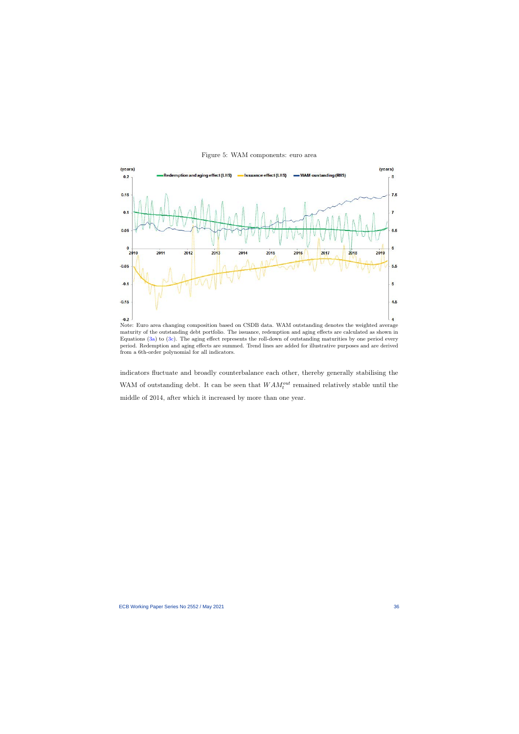

Figure 5: WAM components: euro area

<span id="page-36-0"></span>Note: Euro area changing composition based on CSDB data. WAM outstanding denotes the weighted average maturity of the outstanding debt portfolio. The issuance, redemption and aging effects are calculated as shown in Equations [\(3a\)](#page-34-1) to [\(3c\)](#page-34-1). The aging effect represents the roll-down of outstanding maturities by one period every period. Redemption and aging effects are summed. Trend lines are added for illustrative purposes and are derived from a 6th-order polynomial for all indicators.

indicators fluctuate and broadly counterbalance each other, thereby generally stabilising the WAM of outstanding debt. It can be seen that  $WAM_t^{out}$  remained relatively stable until the middle of 2014, after which it increased by more than one year.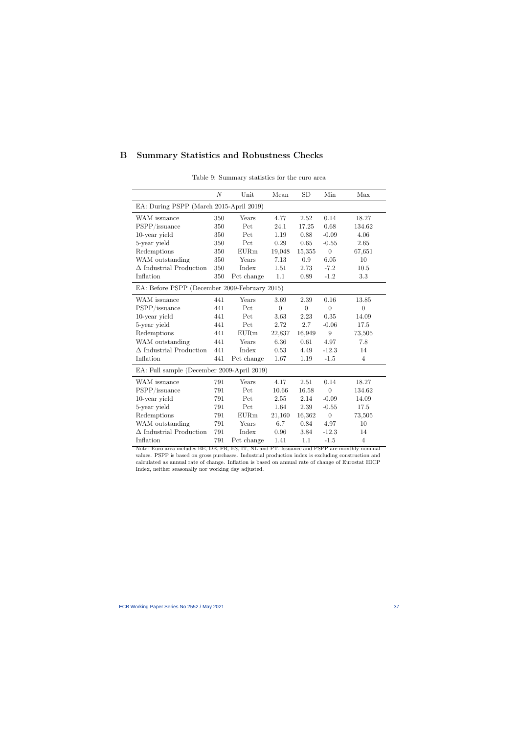## B Summary Statistics and Robustness Checks

<span id="page-37-1"></span><span id="page-37-0"></span>

|                                               | $\mathcal N$ | Unit        | Mean           | <b>SD</b>      | Min            | Max            |
|-----------------------------------------------|--------------|-------------|----------------|----------------|----------------|----------------|
| EA: During PSPP (March 2015-April 2019)       |              |             |                |                |                |                |
| WAM issuance                                  | 350          | Years       | 4.77           | 2.52           | 0.14           | 18.27          |
| PSPP/issuance                                 | 350          | Pct         | 24.1           | 17.25          | 0.68           | 134.62         |
| 10-year yield                                 | 350          | Pct         | 1.19           | 0.88           | $-0.09$        | 4.06           |
| 5-year yield                                  | 350          | Pct         | 0.29           | 0.65           | $-0.55$        | 2.65           |
| Redemptions                                   | 350          | <b>EURm</b> | 19,048         | 15,355         | $\overline{0}$ | 67,651         |
| WAM outstanding                               | 350          | Years       | 7.13           | 0.9            | 6.05           | 10             |
| $\Delta$ Industrial Production                | 350          | Index       | 1.51           | 2.73           | $-7.2$         | 10.5           |
| Inflation                                     | 350          | Pct change  | 1.1            | 0.89           | $-1.2$         | 3.3            |
| EA: Before PSPP (December 2009-February 2015) |              |             |                |                |                |                |
| WAM issuance                                  | 441          | Years       | 3.69           | 2.39           | 0.16           | 13.85          |
| PSPP/issuance                                 | 441          | Pct         | $\overline{0}$ | $\overline{0}$ | $\overline{0}$ | $\overline{0}$ |
| 10-year yield                                 | 441          | Pct         | 3.63           | 2.23           | 0.35           | 14.09          |
| 5-year yield                                  | 441          | Pct         | 2.72           | 2.7            | $-0.06$        | 17.5           |
| Redemptions                                   | 441          | EURm        | 22,837         | 16,949         | 9              | 73,505         |
| WAM outstanding                               | 441          | Years       | 6.36           | 0.61           | 4.97           | 7.8            |
| $\Delta$ Industrial Production                | 441          | Index       | 0.53           | 4.49           | $-12.3$        | 14             |
| Inflation                                     | 441          | Pct change  | 1.67           | 1.19           | $-1.5$         | $\overline{4}$ |
| EA: Full sample (December 2009-April 2019)    |              |             |                |                |                |                |
| WAM issuance                                  | 791          | Years       | 4.17           | 2.51           | 0.14           | 18.27          |
| PSPP/issuance                                 | 791          | Pct         | 10.66          | 16.58          | $\overline{0}$ | 134.62         |
| 10-year yield                                 | 791          | Pct         | $2.55\,$       | 2.14           | $-0.09$        | 14.09          |
| 5-year yield                                  | 791          | Pct         | 1.64           | 2.39           | $-0.55$        | 17.5           |
| Redemptions                                   | 791          | EURm        | 21,160         | 16,362         | $\theta$       | 73,505         |
| WAM outstanding                               | 791          | Years       | 6.7            | 0.84           | 4.97           | 10             |
| $\Delta$ Industrial Production                | 791          | Index       | 0.96           | 3.84           | $-12.3$        | 14             |
| Inflation                                     | 791          | Pct change  | 1.41           | 1.1            | $-1.5$         | $\overline{4}$ |

Table 9: Summary statistics for the euro area

Note: Euro area includes BE, DE, FR, ES, IT, NL and PT. Issuance and PSPP are monthly nominal values. PSPP is based on gross purchases. Industrial production index is excluding construction and calculated as annual rate of change. Inflation is based on annual rate of change of Eurostat HICP Index, neither seasonally nor working day adjusted.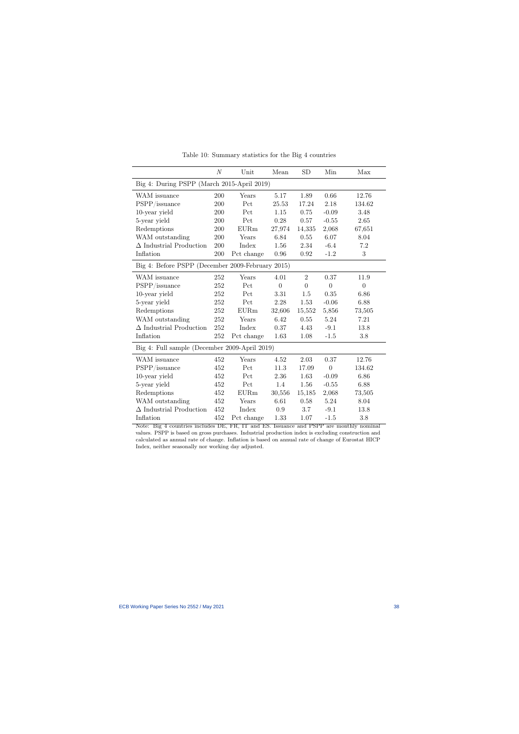<span id="page-38-0"></span>

|                                                  | N   | Unit        | Mean           | <b>SD</b>      | Min            | Max            |
|--------------------------------------------------|-----|-------------|----------------|----------------|----------------|----------------|
| Big 4: During PSPP (March 2015-April 2019)       |     |             |                |                |                |                |
| WAM issuance                                     | 200 | Years       | 5.17           | 1.89           | 0.66           | 12.76          |
| PSPP/issuance                                    | 200 | Pct         | 25.53          | 17.24          | 2.18           | 134.62         |
| 10-year yield                                    | 200 | Pct         | 1.15           | 0.75           | $-0.09$        | 3.48           |
| 5-year yield                                     | 200 | Pct         | 0.28           | 0.57           | $-0.55$        | 2.65           |
| Redemptions                                      | 200 | EURm        | 27,974         | 14,335         | 2,068          | 67,651         |
| WAM outstanding                                  | 200 | Years       | 6.84           | 0.55           | 6.07           | 8.04           |
| $\Delta$ Industrial Production                   | 200 | Index       | 1.56           | 2.34           | $-6.4$         | $7.2\,$        |
| Inflation                                        | 200 | Pct change  | 0.96           | 0.92           | $-1.2$         | 3              |
| Big 4: Before PSPP (December 2009-February 2015) |     |             |                |                |                |                |
| WAM issuance                                     | 252 | Years       | 4.01           | $\overline{2}$ | 0.37           | 11.9           |
| PSPP/issuance                                    | 252 | Pct         | $\overline{0}$ | $\overline{0}$ | $\overline{0}$ | $\overline{0}$ |
| 10-year yield                                    | 252 | Pct         | 3.31           | 1.5            | 0.35           | 6.86           |
| 5-year yield                                     | 252 | Pct         | 2.28           | 1.53           | $-0.06$        | 6.88           |
| Redemptions                                      | 252 | <b>EURm</b> | 32,606         | 15,552         | 5,856          | 73,505         |
| WAM outstanding                                  | 252 | Years       | 6.42           | 0.55           | 5.24           | 7.21           |
| $\Delta$ Industrial Production                   | 252 | Index       | 0.37           | 4.43           | $-9.1$         | 13.8           |
| Inflation                                        | 252 | Pct change  | 1.63           | 1.08           | $-1.5$         | 3.8            |
| Big 4: Full sample (December 2009-April 2019)    |     |             |                |                |                |                |
| WAM issuance                                     | 452 | Years       | 4.52           | 2.03           | 0.37           | 12.76          |
| PSPP/issuance                                    | 452 | Pct         | 11.3           | 17.09          | $\overline{0}$ | 134.62         |
| 10-year yield                                    | 452 | Pct         | 2.36           | 1.63           | $-0.09$        | 6.86           |
| 5-year yield                                     | 452 | Pct         | 1.4            | 1.56           | $-0.55$        | 6.88           |
| Redemptions                                      | 452 | <b>EURm</b> | 30,556         | 15,185         | 2,068          | 73,505         |
| WAM outstanding                                  | 452 | Years       | 6.61           | 0.58           | 5.24           | 8.04           |
| $\Delta$ Industrial Production                   | 452 | Index       | 0.9            | 3.7            | $-9.1$         | 13.8           |
| Inflation                                        | 452 | Pct change  | 1.33           | 1.07           | $-1.5$         | 3.8            |

Table 10: Summary statistics for the Big 4 countries

Note: Big 4 countries includes DE, FR, IT and ES. Issuance and PSPP are monthly nominal values. PSPP is based on gross purchases. Industrial production index is excluding construction and calculated as annual rate of change. Inflation is based on annual rate of change of Eurostat HICP Index, neither seasonally nor working day adjusted.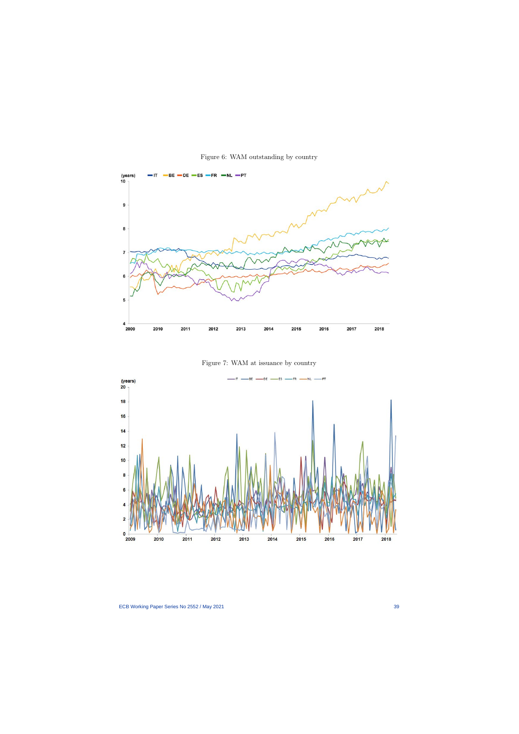

Figure 6: WAM outstanding by country

Figure 7: WAM at issuance by country

<span id="page-39-0"></span>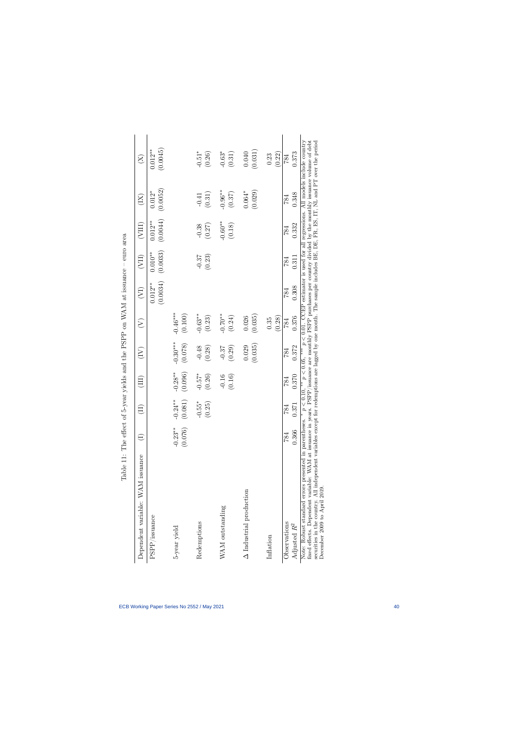| Dependent variable: WAM issuance                                                                                                                                                                                                                                                                                                                                                                                                     |                      |                                        | Ë                    | E                     | E                     | $\widehat{\mathcal{E}}$        | $\overline{\mathrm{C}}$ | (VIII)                | $(\widetilde{\Xi})$  | $\widetilde{\Sigma}$                    |
|--------------------------------------------------------------------------------------------------------------------------------------------------------------------------------------------------------------------------------------------------------------------------------------------------------------------------------------------------------------------------------------------------------------------------------------|----------------------|----------------------------------------|----------------------|-----------------------|-----------------------|--------------------------------|-------------------------|-----------------------|----------------------|-----------------------------------------|
| PSPP/issuance                                                                                                                                                                                                                                                                                                                                                                                                                        |                      |                                        |                      |                       |                       | (0.0034)<br>$0.012**$          | (0.0033)<br>$0.010**$   | (0.0044)<br>$0.012**$ | (0.0052)<br>$0.012*$ | (0.0045)<br>$0.012***$                  |
| 5-year yield                                                                                                                                                                                                                                                                                                                                                                                                                         | $-0.23**$<br>(0.076) | $-0.24**$<br>(0.081)                   | $-0.28**$<br>(0.096) | $-0.30***$<br>(0.078) | $-0.46***$<br>(0.100) |                                |                         |                       |                      |                                         |
| Redemptions                                                                                                                                                                                                                                                                                                                                                                                                                          |                      | 55*<br>25<br><u>ុ</u><br>$\dot{\circ}$ | $-0.57*$<br>(0.26)   | $-0.48$<br>(0.28)     | $-0.63**$<br>(0.23)   |                                | (0.23)<br>$-0.37$       | $-0.38$<br>(0.27)     | (0.31)<br>$-0.41$    | $-0.51*$<br>(0.26)                      |
| WAM outstanding                                                                                                                                                                                                                                                                                                                                                                                                                      |                      |                                        | (0.16)<br>$-0.16$    | (0.29)<br>$-0.37$     | $-0.70**$<br>(0.24)   |                                |                         | $-0.60**$<br>(0.18)   | $-0.96**$<br>(0.37)  | $-0.63*$<br>(0.31)                      |
| $\Delta$ Industrial production                                                                                                                                                                                                                                                                                                                                                                                                       |                      |                                        |                      | (0.035)<br>0.029      | (0.035)<br>0.026      |                                |                         |                       | (0.029)<br>$0.064*$  | (0.031)<br>0.040                        |
| Inflation                                                                                                                                                                                                                                                                                                                                                                                                                            |                      |                                        |                      |                       | (0.28)<br>0.35        |                                |                         |                       |                      | (0.22)<br>0.23                          |
| Observations<br>Adjusted $R^2$                                                                                                                                                                                                                                                                                                                                                                                                       | 0.366<br>784         | 0.371<br>784                           | 0.370<br>784         | 0.372<br>784          | 0.376<br>784          | 0.308<br>784                   | 0.311<br>784            | 0.332<br>784          | 0.348<br>784         | 0.373<br>784                            |
| securities in the country. All independent variables except for redemptions are lagged by one month. The sample includes BE, DE, FR, ES, IT, NL and PT over the period<br>fixed effects. Dependent variable: WAM at issuance in years. PSPP/issuance are monthly PSPP purchases per country divided by the monthly issuance volume of debt<br>Note: Robust standard errors presented in parentheses.<br>December 2009 to April 2019. |                      | p < 0.10                               | $p < 0.05$ ,         |                       | p < 0.01              | CCEP estimator is used for all |                         |                       |                      | regressions. All models include country |

<span id="page-40-0"></span>Table 11: The effect of 5-year yields and the PSPP on WAM at issuance – euro area Table 11: The effect of 5-year yields and the PSPP on WAM at issuance – euro area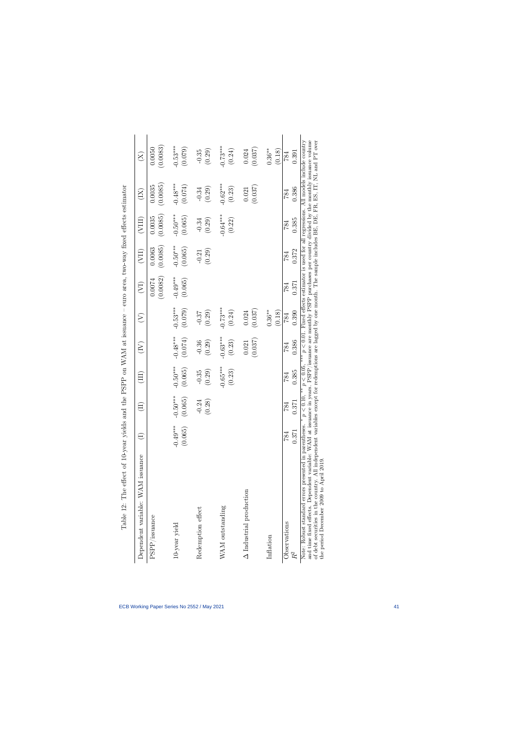<span id="page-41-0"></span>

| , at iddinance – area turn-unar turn area – attar turn and a<br>THREE CONTROLS IN THE STATE OF THE STATE OF THE STATE ITS IN THE THAT HAS TO THE STATE THAT THE STATE THAT THE |
|--------------------------------------------------------------------------------------------------------------------------------------------------------------------------------|
| <b>トレートトトト</b>                                                                                                                                                                 |
| r<br>C<br>りしくしょう                                                                                                                                                               |
| <b>+ でんしいです。 こうしん こうしん アイス アイス こうしん かいきょう こうしゃ</b>                                                                                                                             |
| l<br>ì<br>j                                                                                                                                                                    |
| Ì<br>Ē                                                                                                                                                                         |
| l<br>I                                                                                                                                                                         |
| -<br>E<br>١                                                                                                                                                                    |

| Dependent variable: WAM issuance                                                                                                                                                                                              |                       |                                | $\Xi$                 | $(\widetilde{\Xi})$   | E                     | $\widetilde{\left( \sum_{i=1}^{n}a_{i}\right) }$ | $(\rm{VII})$          | (VIII)                | $(\mathrm{X})$                                                                               | $\widetilde{\Sigma}$  |
|-------------------------------------------------------------------------------------------------------------------------------------------------------------------------------------------------------------------------------|-----------------------|--------------------------------|-----------------------|-----------------------|-----------------------|--------------------------------------------------|-----------------------|-----------------------|----------------------------------------------------------------------------------------------|-----------------------|
| $\ensuremath{\mathsf{P}}\ensuremath{\mathsf{S}}\ensuremath{\mathsf{P}}\ensuremath{\mathsf{P}}/ \text{issue}$                                                                                                                  |                       |                                |                       |                       |                       | (0.0082)<br>0.0074                               | (0.0085)<br>0.0063    | (0.0085)<br>0.0035    | (0.0085)<br>0.0035                                                                           | (0.0083)<br>0.0050    |
| 10-year yield                                                                                                                                                                                                                 | $-0.49***$<br>(0.065) | $-0.50***$<br>(0.065)          | $-0.50***$<br>(0.065) | $-0.48***$<br>(0.074) | $-0.53***$<br>(0.079) | $-0.49***$<br>(0.065)                            | $-0.50***$<br>(0.065) | $-0.50***$<br>(0.065) | $-0.48***$<br>(0.074)                                                                        | $-0.53***$<br>(0.079) |
| Redemption effect                                                                                                                                                                                                             |                       | .28)<br>$-0.24$<br>$\subseteq$ | (0.29)<br>$-0.35$     | $-0.36$<br>(0.29)     | (0.29)<br>$-0.37$     |                                                  | (0.29)<br>$-0.21$     | (0.29)<br>$-0.34$     | $(0.29)$<br>$-0.34$                                                                          | (0.29)<br>$-0.35$     |
| WAM outstanding                                                                                                                                                                                                               |                       |                                | $-0.65***$<br>(0.23)  | $-0.63***$<br>(0.23)  | $-0.73***$<br>(0.24)  |                                                  |                       | $-0.64***$<br>(0.22)  | $-0.62***$<br>$\left( 0.23\right)$                                                           | $-0.73***$<br>(0.24)  |
| $\Delta$ Industrial production                                                                                                                                                                                                |                       |                                |                       | (0.037)<br>0.021      | (0.037)<br>0.024      |                                                  |                       |                       | (0.037)<br>0.021                                                                             | (0.037)<br>0.024      |
| Inflation                                                                                                                                                                                                                     |                       |                                |                       |                       | $0.36***$<br>(0.18)   |                                                  |                       |                       |                                                                                              | $0.36***$<br>(0.18)   |
| Observations<br>$R^2$                                                                                                                                                                                                         | 0.371<br>784          | 371<br>784                     | 0.385<br>784          | 0.386<br>784          | 0.390<br>784          | 0.371<br>784                                     | 0.372<br>784          | 0.385<br>784          | 0.386<br>784                                                                                 | 0.391<br>784          |
| and time fixed effects. Dependent variable: WAM at issuance in vears. $PSPP$ issuance are monthly PSPP purchases per country divided by the monthly issuance volume<br>Note: Robust standard errors presented in parentheses. |                       | $p < 0.10$ ,                   | p < 0.05              | ***                   |                       |                                                  |                       |                       | $p < 0.01$ . Fixed effects estimator is used for all regressions. All models include country |                       |

and time fixed effects. Dependent variable: WAM at issuance in years. PSPP/issuance are monthly PSPP purchases per country divided by the monthly issuance volume of debt securities in the country. All independent variables and time fixed effects. Dependent variable: WAM at issuance in years. PSPP/issuance are monthly PSPP purchases per country divided by the monthly issuance volume of debt securities in the country. All independent variables except for redemptions are lagged by one month. The sample includes BE, DE, FR, ES, IT, NL and PT over the period December 2009 to April 2019.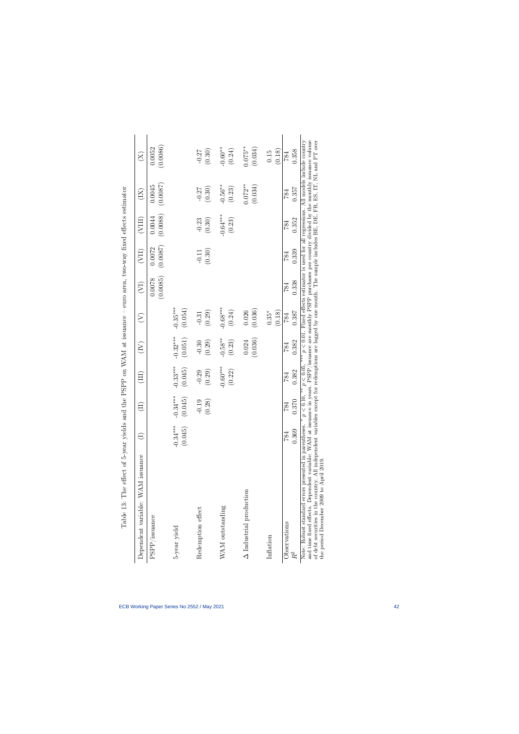| Dependent variable: WAM issuance                                                                                                                                                                                                                                                                                                       |                       | $\left( \Pi \right)$                        | (III)                  | $\widetilde{\Xi}$     | $\left( \sum_{i=1}^{n} a_i \right)$ | $\left(\overline{\nabla}\right)$ | $\left( \text{VII} \right)$ | (VIII)               | $(\mathrm{X})$       | $\widetilde{\Sigma}$                                                                                                                                                                                   |
|----------------------------------------------------------------------------------------------------------------------------------------------------------------------------------------------------------------------------------------------------------------------------------------------------------------------------------------|-----------------------|---------------------------------------------|------------------------|-----------------------|-------------------------------------|----------------------------------|-----------------------------|----------------------|----------------------|--------------------------------------------------------------------------------------------------------------------------------------------------------------------------------------------------------|
| PSPP/issuance                                                                                                                                                                                                                                                                                                                          |                       |                                             |                        |                       |                                     | (0.0085)<br>0.0078               | (0.0087)<br>0.0072          | (0.0088)<br>0.0044   | (0.0087)<br>0.0045   | (0.0086)<br>0.0052                                                                                                                                                                                     |
| 5-year yield                                                                                                                                                                                                                                                                                                                           | $-0.34***$<br>(0.045) | $0.34***$<br>(0.045)<br>ငှ                  | $-0.33***$<br>(0.045)  | $-0.32***$<br>(0.051) | $-0.35***$<br>(0.054)               |                                  |                             |                      |                      |                                                                                                                                                                                                        |
| Redemption effect                                                                                                                                                                                                                                                                                                                      |                       | $-0.19$<br>(0.28)                           | $-0.29$<br>(0.29)      | (0.29)<br>$-0.30$     | (0.29)<br>$-0.31$                   |                                  | (0.30)<br>$-0.11$           | (0.30)<br>$-0.23$    | (0.30)<br>$-0.27$    | (0.30)<br>$-0.27$                                                                                                                                                                                      |
| WAM outstanding                                                                                                                                                                                                                                                                                                                        |                       |                                             | $-0.60***$<br>$(0.22)$ | $-0.58***$<br>(0.23)  | $-0.68***$<br>(0.24)                |                                  |                             | $-0.64***$<br>(0.23) | $-0.56***$<br>(0.23) | $-0.60**$<br>(0.24)                                                                                                                                                                                    |
| $\Delta$ Industrial production                                                                                                                                                                                                                                                                                                         |                       |                                             |                        | (0.036)<br>0.024      | (0.036)<br>0.026                    |                                  |                             |                      | $0.072**$<br>(0.034) | $0.075***$<br>(0.034)                                                                                                                                                                                  |
| Inflation                                                                                                                                                                                                                                                                                                                              |                       |                                             |                        |                       | $0.35*$<br>(0.18)                   |                                  |                             |                      |                      | (0.18)<br>0.15                                                                                                                                                                                         |
| Observations<br>$R^\mathrm{2}$                                                                                                                                                                                                                                                                                                         | 0.369<br>784          | 1.370<br>784                                | 0.382<br>784           | 0.382<br>784          | 0.387<br>784                        | 0.338<br>784                     | 0.339<br>784                | 0.352<br>784         | 0.357<br>784         | 0.358<br>784                                                                                                                                                                                           |
| and time fixed effects. Dependent variable: WAM at issuance in years. PSPP/issuance are monthly PSPP purchases per country divided by the monthly issuance volume<br>of debt securities in the country. All independent variables<br>Note: Robust standard errors presented in parentheses.<br>the period December 2009 to April 2019. |                       | $< 0.10,$ <sup>**</sup><br>$\boldsymbol{q}$ | $p < 0.05$ .           |                       |                                     |                                  |                             |                      |                      | $p < 0.01$ . Fixed effects estimator is used for all regressions. All models include country<br>except for redemptions are lagged by one month. The sample includes BE, DE, FR, ES, IT, NL and PT over |

Table 13: The effect of 5-year vields and the PSPP on WAM at issuance – euro area, two-way fixed effects estimator Table 13: The effect of 5-year yields and the PSPP on WAM at issuance – euro area, two-way fixed effects estimator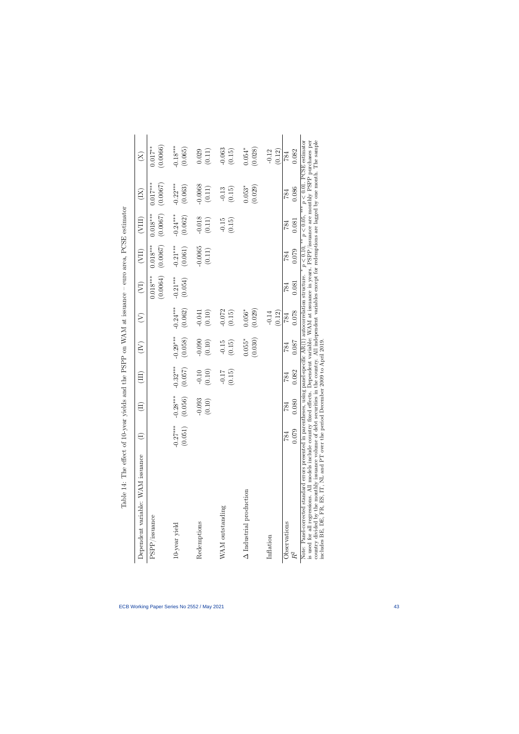| Dependent variable: WAM issuance                                                                                                                                                                                                                                                                                                                                                                                                                                                                                                                             |                       |                                      | (III)                 | $(\widetilde{\Xi})$   | E                     | $(\sum_{i=1}^{n}$      | (VII)                            | (VIII)                 | $\left(\overline{\mathrm{X}}\right)$ | $\widetilde{\chi})$         |
|--------------------------------------------------------------------------------------------------------------------------------------------------------------------------------------------------------------------------------------------------------------------------------------------------------------------------------------------------------------------------------------------------------------------------------------------------------------------------------------------------------------------------------------------------------------|-----------------------|--------------------------------------|-----------------------|-----------------------|-----------------------|------------------------|----------------------------------|------------------------|--------------------------------------|-----------------------------|
| $\ensuremath{\mathsf{PSPP}}\xspace$ /issuance                                                                                                                                                                                                                                                                                                                                                                                                                                                                                                                |                       |                                      |                       |                       |                       | (0.0064)<br>$0.018***$ | $0.018***$<br>(0.0067)           | $0.018***$<br>(0.0067) | $0.017***$<br>(0.0067)               | (0.0066)<br>$0.017***$      |
| 10-year yield                                                                                                                                                                                                                                                                                                                                                                                                                                                                                                                                                | $-0.27***$<br>(0.051) | $-0.28***$<br>(0.056)                | $-0.32***$<br>(0.057) | $-0.29***$<br>(0.058) | $-0.24***$<br>(0.062) | $-0.21***$<br>(0.054)  | $-0.21***$<br>(0.061)            | $-0.24***$<br>(0.062)  | $-0.22***$<br>(0.063)                | $-0.18***$<br>(0.065)       |
| Redemptions                                                                                                                                                                                                                                                                                                                                                                                                                                                                                                                                                  |                       | 093<br>(0.10)<br>$\dot{\mathcal{L}}$ | $(0.10)$<br>$-0.10$   | $-0.090$<br>(0.10)    | $(0.10)$<br>$-0.041$  |                        | $-0.0065$<br>$\left(0.11\right)$ | $-0.018$<br>$(0.11)$   | $-0.0068$<br>$\left( 0.11\right)$    | $(0.11)$<br>0.029           |
| WAM outstanding                                                                                                                                                                                                                                                                                                                                                                                                                                                                                                                                              |                       |                                      | (0.15)<br>$-0.17$     | $-0.15$<br>(0.15)     | $-0.072$<br>(0.15)    |                        |                                  | $-0.15$<br>(0.15)      | (0.15)<br>$-0.13$                    | $-0.063$<br>(0.15)          |
| $\Delta$ Industrial production                                                                                                                                                                                                                                                                                                                                                                                                                                                                                                                               |                       |                                      |                       | $0.055*$<br>(0.030)   | (0.029)<br>$0.056*$   |                        |                                  |                        | $0.053*$<br>(0.029)                  | $0.054*$<br>(0.028)         |
| Inflation                                                                                                                                                                                                                                                                                                                                                                                                                                                                                                                                                    |                       |                                      |                       |                       | (0.12)<br>$-0.14$     |                        |                                  |                        |                                      | (0.12)<br>$-0.12$           |
| Observations<br>$R^\mathrm{2}$                                                                                                                                                                                                                                                                                                                                                                                                                                                                                                                               | 0.079<br>784          | 0.080<br>84                          | 0.082<br>784          | 0.087<br>784          | 0.078<br>784          | 0.081<br>784           | 0.079<br>784                     | 0.081<br>784           | 0.086<br>784                         | 0.082<br>784                |
| country divided by the monthly issuance volume of debt securities in the country. All independent variables except for redemptions are lagged by one month. The sample<br>is used for all regressions. All models include country fixed effects. Dependent variable: WAM at issuance in years. PSPP/issuance are monthly PSPP purchases per<br>Note: Panel-corrected standard errors presented in parentheses, using panel-specific $AR(1)$ autocorrelation structure.<br>includes BE, DE, FR, ES, IT, NL and PT over the period December 2009 to April 2019 |                       |                                      |                       |                       |                       |                        | $p < 0.10$ , **                  | $p < 0.05$ , ***       |                                      | $p < 0.01$ . PCSE estimator |

Table 14: The effect of 10-year yields and the PSPP on WAM at issuance – euro area, PCSE estimator Table 14: The effect of 10-year yields and the PSPP on WAM at issuance – euro area, PCSE estimator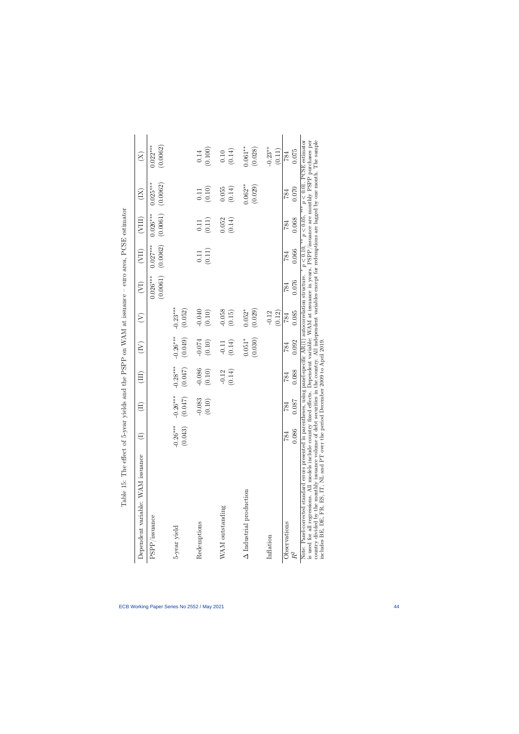| Dependent variable: WAM issuance                                                                                                                                                                                                                                                                                                                                                                                                                                                                                                 |                       |                        |                             | $\widetilde{\Xi}$     | $\widehat{\succ}$     | $\widetilde{(\nabla)}$ | $(\text{III})$         | (VIII)                 | $(\mathrm{K})$         | $\widetilde{\Sigma}$                        |
|----------------------------------------------------------------------------------------------------------------------------------------------------------------------------------------------------------------------------------------------------------------------------------------------------------------------------------------------------------------------------------------------------------------------------------------------------------------------------------------------------------------------------------|-----------------------|------------------------|-----------------------------|-----------------------|-----------------------|------------------------|------------------------|------------------------|------------------------|---------------------------------------------|
| PSPP/issuance                                                                                                                                                                                                                                                                                                                                                                                                                                                                                                                    |                       |                        |                             |                       |                       | $0.026***$<br>(0.0061) | (0.0062)<br>$0.027***$ | (0.0061)<br>$0.026***$ | $0.025***$<br>(0.0062) | $0.022***$<br>(0.0062)                      |
| 5-year yield                                                                                                                                                                                                                                                                                                                                                                                                                                                                                                                     | $-0.26***$<br>(0.043) | $.26***$<br>(140,<br>ု | $-0.28***$<br>(0.047)       | $-0.26***$<br>(0.049) | $-0.23***$<br>(0.052) |                        |                        |                        |                        |                                             |
| Redemptions                                                                                                                                                                                                                                                                                                                                                                                                                                                                                                                      |                       | 0.083<br>(0.10)<br>⊣   | $-0.086$<br>(0.10)          | (0.10)                | $-0.040$<br>$(0.10)$  |                        | $(0.11)$<br>(0.11)     | $(0.11)$<br>0.11       | $(0.10)$<br>0.11       | (0.100)<br>$0.14\,$                         |
| WAM outstanding                                                                                                                                                                                                                                                                                                                                                                                                                                                                                                                  |                       |                        | (0.14)<br>$-0.12$           | (0.14)<br>$-0.11$     | $-0.058$<br>(0.15)    |                        |                        | 0.052<br>(0.14)        | 0.055<br>(0.14)        | $\begin{array}{c} 0.10 \\ 0.14 \end{array}$ |
| $\Delta$ Industrial production                                                                                                                                                                                                                                                                                                                                                                                                                                                                                                   |                       |                        |                             | (0.030)<br>$0.051*$   | (0.029)<br>$0.052*$   |                        |                        |                        | $0.062**$<br>(0.029)   | $0.061***$<br>(0.028)                       |
| Inflation                                                                                                                                                                                                                                                                                                                                                                                                                                                                                                                        |                       |                        |                             |                       | $-0.12$<br>(0.12)     |                        |                        |                        |                        | $-0.23**$<br>(0.11)                         |
| Observations<br>R₹                                                                                                                                                                                                                                                                                                                                                                                                                                                                                                               | 0.086<br>784          | 1.087<br>784           | 0.088<br>784                | 0.092<br>784          | 0.085<br>784          | 0.076<br>784           | 0.066<br>784           | 0.068<br>784           | 0.070<br>784           | 0.075<br>784                                |
| country divided by the monthly issuance volume of debt securities in the country. All independent variables except for redemptions are lagged by one month. The sample<br>is used for all regressions. All models include country fixed effects. Dependent variable: WAM at issuance in years. PSPP/issuance are monthly PSPP purchases per<br>Note: Panel-corrected standard errors presented in parentheses, using panel-specific AR(1) autocorrelation structure.<br>includes BE, DE, FR, ES, IT, NL and PT over the period I |                       |                        | December 2009 to April 2019 |                       |                       |                        | $p < 0.10$ .           | $p < 0.05$ , ***       |                        | $p < 0.01$ . PCSE estimator                 |

<span id="page-44-0"></span>Table 15: The effect of 5-year yields and the PSPP on WAM at issuance – euro area, PCSE estimator Table 15: The effect of 5-year yields and the PSPP on WAM at issuance – euro area, PCSE estimator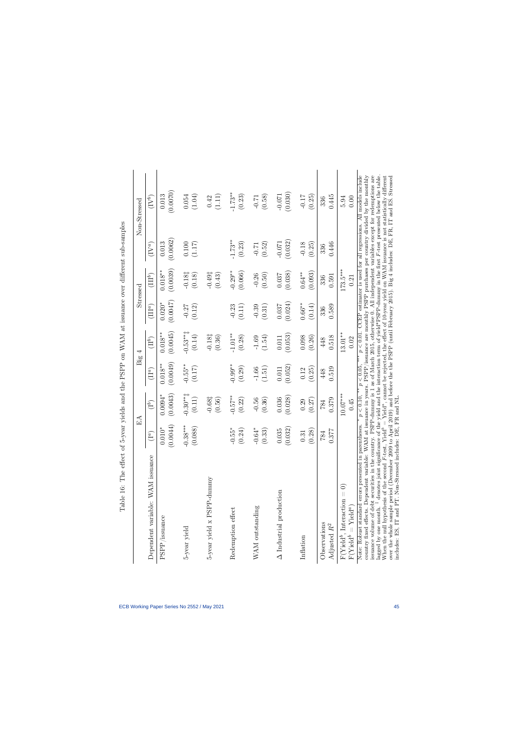<span id="page-45-0"></span>

|                                                                                                                                                                                                                                                                                                                                                                                                                                                                                                                                                                                                                                                                                                                                                                                                                                                                |            | $_{\rm EA}$        | Big          | 4                  |           | $\rm{Stressed}$              |           | Non-Stressed                                                                                                                                                                             |
|----------------------------------------------------------------------------------------------------------------------------------------------------------------------------------------------------------------------------------------------------------------------------------------------------------------------------------------------------------------------------------------------------------------------------------------------------------------------------------------------------------------------------------------------------------------------------------------------------------------------------------------------------------------------------------------------------------------------------------------------------------------------------------------------------------------------------------------------------------------|------------|--------------------|--------------|--------------------|-----------|------------------------------|-----------|------------------------------------------------------------------------------------------------------------------------------------------------------------------------------------------|
| Dependent variable: WAM issuance                                                                                                                                                                                                                                                                                                                                                                                                                                                                                                                                                                                                                                                                                                                                                                                                                               | $(1^a)$    | $(1^b)$            | $(\Pi^a)$    | $(II^b)$           | $(III^a)$ | $(\Pi\mathbb{I}^b)$          | $(IV^a)$  | $(\mathrm{IV}^b)$                                                                                                                                                                        |
| $\ensuremath{\mathrm{PSPP}}/\ensuremath{\mathrm{issuance}}$                                                                                                                                                                                                                                                                                                                                                                                                                                                                                                                                                                                                                                                                                                                                                                                                    | (0.0044)   | (0.0043)           | (0.0049)     | (0.0045)           | (0.0047)  | (0.0039)                     | (0.0062)  | (0.0070)                                                                                                                                                                                 |
|                                                                                                                                                                                                                                                                                                                                                                                                                                                                                                                                                                                                                                                                                                                                                                                                                                                                | $0.010*$   | $0.0094*$          | $0.018^{**}$ | $0.018***$         | $0.020*$  | $0.018^{**}$                 | 0.013     | 0.013                                                                                                                                                                                    |
| 5-year yield                                                                                                                                                                                                                                                                                                                                                                                                                                                                                                                                                                                                                                                                                                                                                                                                                                                   | $-0.38***$ | $-0.30**$          | $-0.55***$   | $-0.53***$         | (0.12)    | $-0.181$                     | 0.100     | (1.04)                                                                                                                                                                                   |
|                                                                                                                                                                                                                                                                                                                                                                                                                                                                                                                                                                                                                                                                                                                                                                                                                                                                | (0.088)    | (0.11)             | (0.17)       | (0.14)             | $-0.27$   | (0.18)                       | (1.17)    | 0.054                                                                                                                                                                                    |
| 5-year yield x PSPP-dummy                                                                                                                                                                                                                                                                                                                                                                                                                                                                                                                                                                                                                                                                                                                                                                                                                                      |            | $-0.681$<br>(0.56) |              | $-0.181$<br>(0.36) |           | $-0.49^{\ddagger}$<br>(0.43) |           | (1.11)<br>0.42                                                                                                                                                                           |
| Redemption effect                                                                                                                                                                                                                                                                                                                                                                                                                                                                                                                                                                                                                                                                                                                                                                                                                                              | $-0.55*$   | $-0.57**$          | $-0.99**$    | $-1.01***$         | $-0.23$   | $-0.29**$                    | $-1.73**$ | $-1.73**$                                                                                                                                                                                |
|                                                                                                                                                                                                                                                                                                                                                                                                                                                                                                                                                                                                                                                                                                                                                                                                                                                                | (0.24)     | (0.22)             | (0.29)       | (0.28)             | (0.11)    | (0.066)                      | (0.23)    | (0.23)                                                                                                                                                                                   |
| WAM outstanding                                                                                                                                                                                                                                                                                                                                                                                                                                                                                                                                                                                                                                                                                                                                                                                                                                                | $-0.64*$   | $-0.56$            | (1.51)       | $-1.69$            | $-0.39$   | (0.50)                       | (0.52)    | (0.58)                                                                                                                                                                                   |
|                                                                                                                                                                                                                                                                                                                                                                                                                                                                                                                                                                                                                                                                                                                                                                                                                                                                | (0.33)     | (0.36)             | $-1.66$      | (1.54)             | (0.31)    | $-0.26$                      | $-0.71$   | $-0.71$                                                                                                                                                                                  |
| $\Delta$ Industrial production                                                                                                                                                                                                                                                                                                                                                                                                                                                                                                                                                                                                                                                                                                                                                                                                                                 | (0.032)    | (0.028)            | (0.052)      | (0.053)            | (0.024)   | (0.038)                      | (0.032)   | (0.030)                                                                                                                                                                                  |
|                                                                                                                                                                                                                                                                                                                                                                                                                                                                                                                                                                                                                                                                                                                                                                                                                                                                | 0.035      | 0.036              | 0.011        | $0.011\,$          | 0.037     | 0.037                        | $-0.071$  | $-0.071$                                                                                                                                                                                 |
| Inflation                                                                                                                                                                                                                                                                                                                                                                                                                                                                                                                                                                                                                                                                                                                                                                                                                                                      | (0.28)     | (0.27)             | (0.25)       | 0.098              | $0.66***$ | (0.093)                      | $-0.18$   | $-0.17$                                                                                                                                                                                  |
|                                                                                                                                                                                                                                                                                                                                                                                                                                                                                                                                                                                                                                                                                                                                                                                                                                                                | 0.31       | 0.29               | 0.12         | (0.26)             | (0.14)    | $0.64***$                    | (0.25)    | (0.25)                                                                                                                                                                                   |
| Observations                                                                                                                                                                                                                                                                                                                                                                                                                                                                                                                                                                                                                                                                                                                                                                                                                                                   | 0.377      | 0.379              | 0.519        | 0.518              | 0.589     | 0.591                        | 0.446     | 0.445                                                                                                                                                                                    |
| Adjusted $R^2$                                                                                                                                                                                                                                                                                                                                                                                                                                                                                                                                                                                                                                                                                                                                                                                                                                                 | 784        | 784                | 448          | 448                | 336       | 336                          | 336       | 336                                                                                                                                                                                      |
| $F(Yied^b, Interaction = 0)$<br>$F(Yiedd^{b} = Yield^{a})$                                                                                                                                                                                                                                                                                                                                                                                                                                                                                                                                                                                                                                                                                                                                                                                                     |            | $10.07***$<br>0.45 |              | $13.01***$<br>0.02 |           | $173.5***$<br>0.21           |           | 0.00<br>5.94                                                                                                                                                                             |
| issuance volume of debt securities in the country. FSPP-dummy is 1 as of March 2015, otherwise 0. All independent variables except for redemptions are<br>lagged by one month. <sup>†</sup> denotes joint significance of the yield and the interaction term of yield*PSPP-dummy in the first $F$ -test presented below the table.<br>When the null hypothesis of the second $F$ -test, Yield <sup>b</sup> = Yield <sup>a</sup> , camot be rejected, the effect of 10-year yield on WAM issuance is not statistically different<br>country fixed effects. Dependent variable: WAM at issuance in years. PSPP/issuance are monthly PSPP purchases per country divided by the monthly<br>includes: ES, IT and PT. Non-Stressed includes: DE, FR and NL.<br>Note: Robust standard errors presented in parentheses.<br>over the whole sample period (December 2009 |            | p < 0.10,          | p < 0.05     |                    |           |                              |           | $p < 0.01$ . CCEP estimator is used for all regressions. All models include<br>to April 2019) and before the the PSPP (until February 2015). Big 4 includes: DE, FR, IT and ES. Stressed |